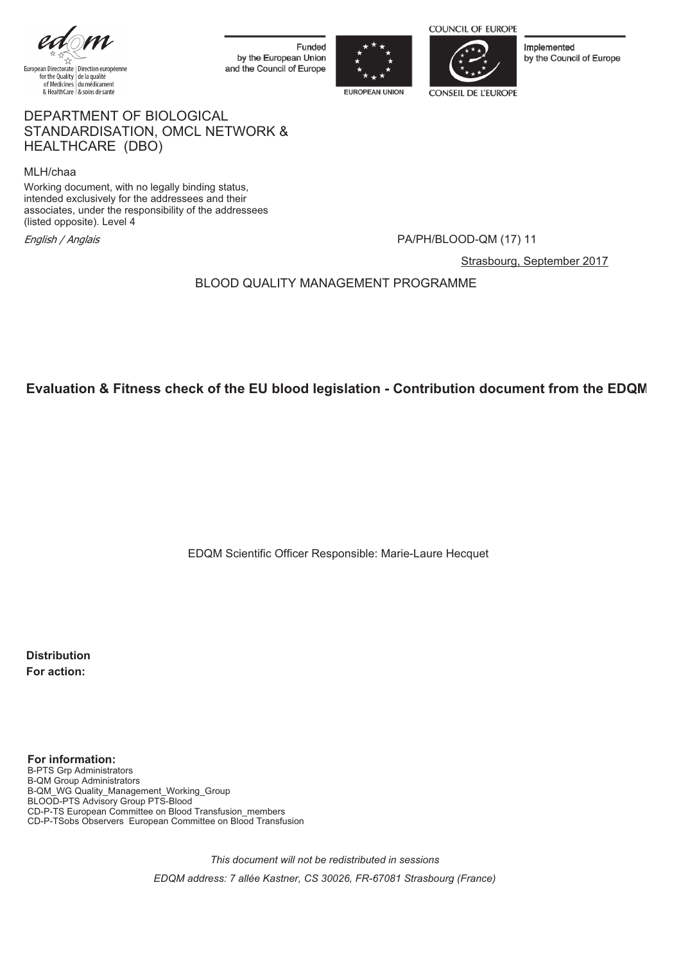

Funded by the European Union and the Council of Europe





Implemented by the Council of Europe

#### DEPARTMENT OF BIOLOGICAL STANDARDISATION, OMCL NETWORK & HEALTHCARE (DBO)

MLH/chaa

Working document, with no legally binding status, intended exclusively for the addressees and their associates, under the responsibility of the addressees (listed opposite). Level 4 ssociates, under the responsibility of the addressees<br>listed opposite). Level 4<br>English / Anglais

Strasbourg, September 2017

BLOOD QUALITY MANAGEMENT PROGRAMME

# **Evaluation & Fitness check of the EU blood legislation - Contribution document from the EDQM**

EDQM Scientific Officer Responsible: Marie-Laure Hecquet

**Distribution For action:**

**For information:** B-PTS Grp Administrators B-QM Group Administrators B-QM\_WG Quality\_Management\_Working\_Group BLOOD-PTS Advisory Group PTS-Blood CD-P-TS European Committee on Blood Transfusion\_members CD-P-TSobs Observers European Committee on Blood Transfusion

> *This document will not be redistributed in sessions EDQM address: 7 allée Kastner, CS 30026, FR-67081 Strasbourg (France)*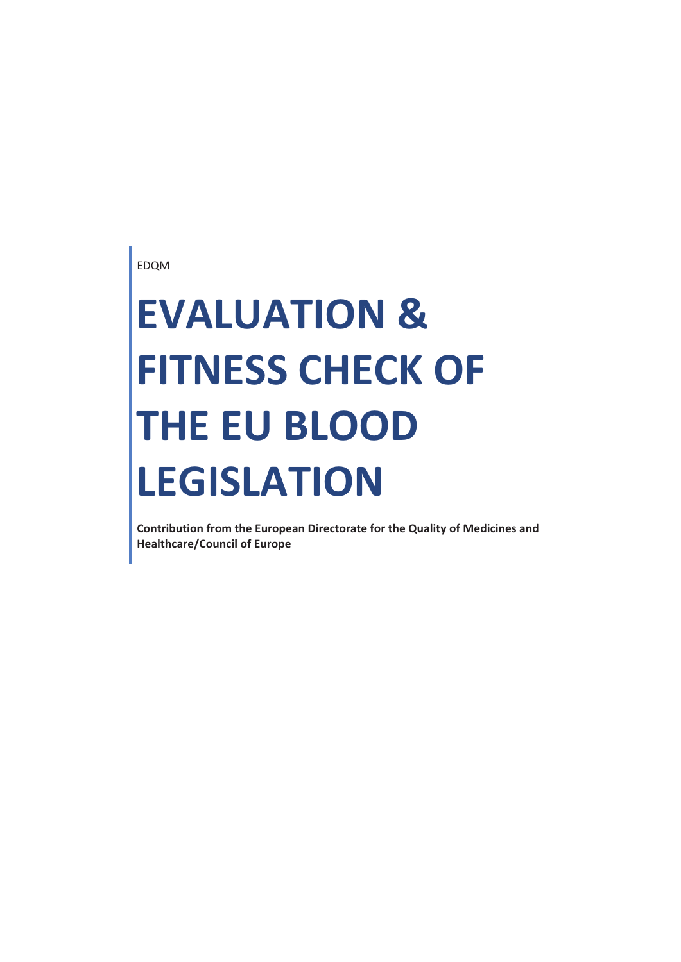EDQM

# **EVALUATION & FITNESS CHECK OF THE EU BLOOD LEGISLATION**

**Contribution from the European Directorate for the Quality of Medicines and Healthcare/Council of Europe**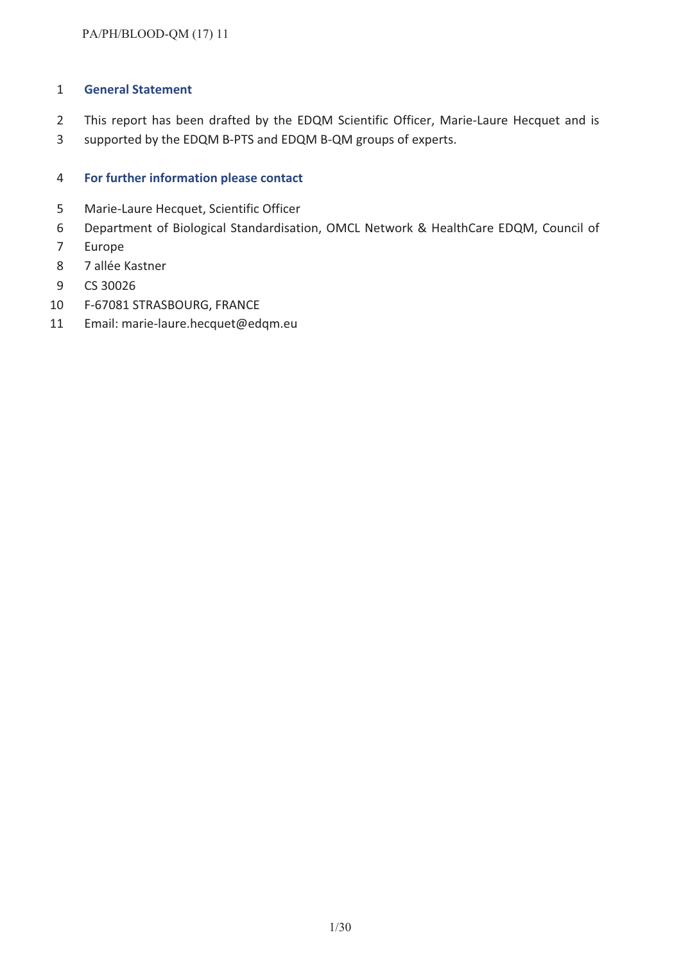#### **General Statement**

- This report has been drafted by the EDQM Scientific Officer, Marie-Laure Hecquet and is
- supported by the EDQM B-PTS and EDQM B-QM groups of experts.

## **For further information please contact**

- Marie-Laure Hecquet, Scientific Officer
- Department of Biological Standardisation, OMCL Network & HealthCare EDQM, Council of
- Europe
- 7 allée Kastner
- CS 30026
- F-67081 STRASBOURG, FRANCE
- Email: marie-laure.hecquet@edqm.eu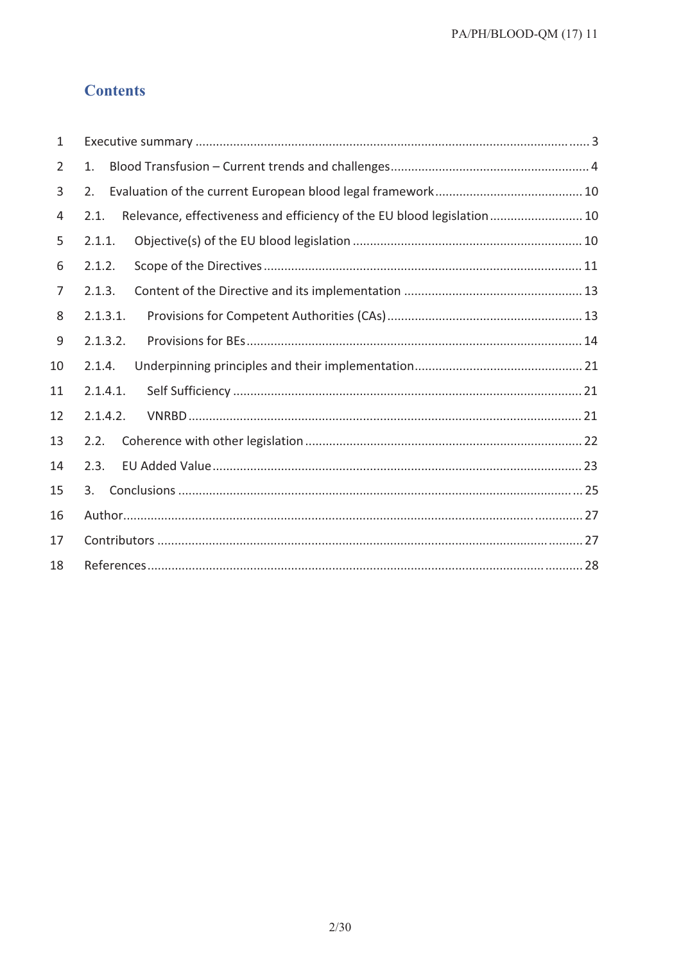# **Contents**

| 1  |                                                                                |
|----|--------------------------------------------------------------------------------|
| 2  | 1.                                                                             |
| 3  | 2.                                                                             |
| 4  | Relevance, effectiveness and efficiency of the EU blood legislation 10<br>2.1. |
| 5  | 2.1.1.                                                                         |
| 6  | 2.1.2.                                                                         |
| 7  | 2.1.3.                                                                         |
| 8  | 2.1.3.1.                                                                       |
| 9  | 2.1.3.2.                                                                       |
| 10 | 2.1.4.                                                                         |
| 11 | 2.1.4.1.                                                                       |
| 12 | 2.1.4.2.                                                                       |
| 13 | 2.2.                                                                           |
| 14 | 2.3.                                                                           |
| 15 | 3.                                                                             |
| 16 |                                                                                |
| 17 |                                                                                |
| 18 |                                                                                |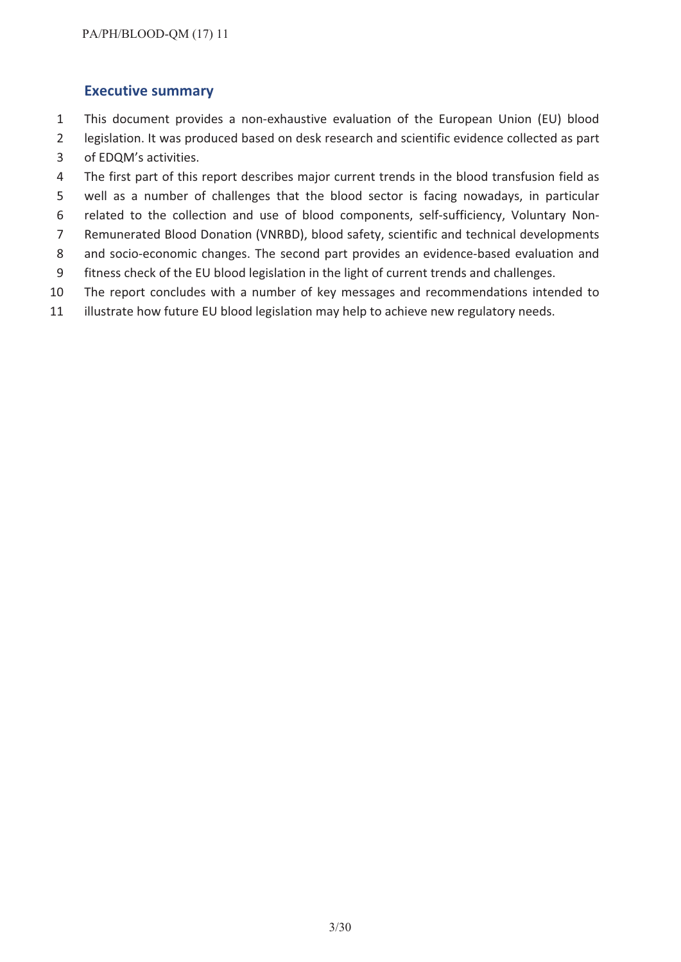# **Executive summary**

- This document provides a non-exhaustive evaluation of the European Union (EU) blood
- legislation. It was produced based on desk research and scientific evidence collected as part of EDQM's activities.
- The first part of this report describes major current trends in the blood transfusion field as
- well as a number of challenges that the blood sector is facing nowadays, in particular
- related to the collection and use of blood components, self-sufficiency, Voluntary Non-
- Remunerated Blood Donation (VNRBD), blood safety, scientific and technical developments
- and socio-economic changes. The second part provides an evidence-based evaluation and
- fitness check of the EU blood legislation in the light of current trends and challenges.
- The report concludes with a number of key messages and recommendations intended to
- illustrate how future EU blood legislation may help to achieve new regulatory needs.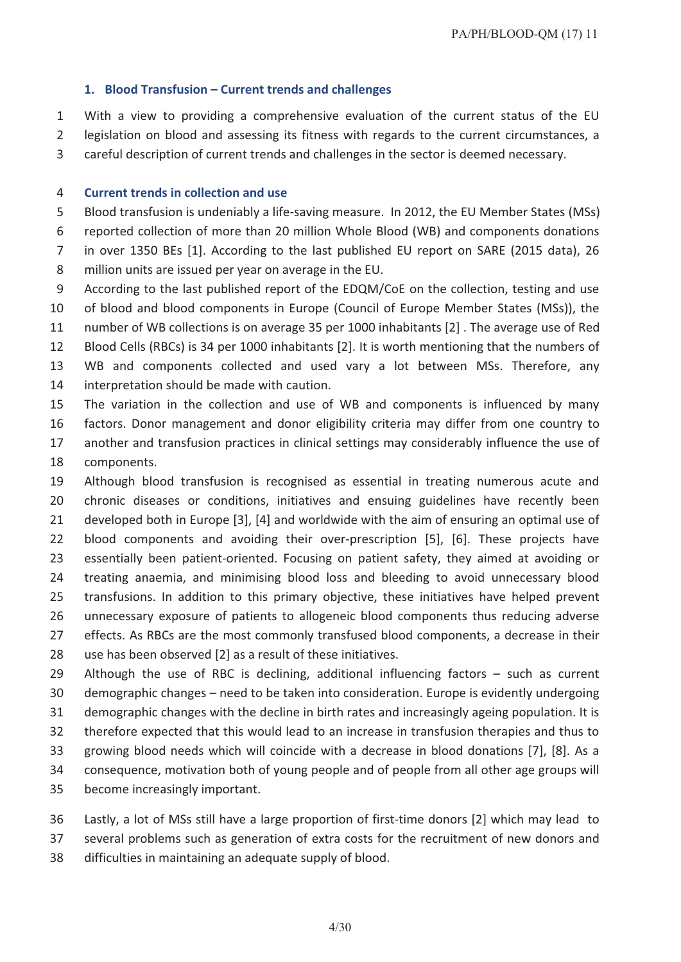#### **1. Blood Transfusion – Current trends and challenges**

 With a view to providing a comprehensive evaluation of the current status of the EU legislation on blood and assessing its fitness with regards to the current circumstances, a

careful description of current trends and challenges in the sector is deemed necessary.

#### **Current trends in collection and use**

Blood transfusion is undeniably a life-saving measure. In 2012, the EU Member States (MSs)

reported collection of more than 20 million Whole Blood (WB) and components donations

 in over 1350 BEs [1]. According to the last published EU report on SARE (2015 data), 26 million units are issued per year on average in the EU.

According to the last published report of the EDQM/CoE on the collection, testing and use

 of blood and blood components in Europe (Council of Europe Member States (MSs)), the number of WB collections is on average 35 per 1000 inhabitants [2] . The average use of Red

Blood Cells (RBCs) is 34 per 1000 inhabitants [2]. It is worth mentioning that the numbers of

- WB and components collected and used vary a lot between MSs. Therefore, any
- interpretation should be made with caution.

 The variation in the collection and use of WB and components is influenced by many factors. Donor management and donor eligibility criteria may differ from one country to

- another and transfusion practices in clinical settings may considerably influence the use of components.
- Although blood transfusion is recognised as essential in treating numerous acute and chronic diseases or conditions, initiatives and ensuing guidelines have recently been developed both in Europe [3], [4] and worldwide with the aim of ensuring an optimal use of blood components and avoiding their over-prescription [5], [6]. These projects have essentially been patient-oriented. Focusing on patient safety, they aimed at avoiding or treating anaemia, and minimising blood loss and bleeding to avoid unnecessary blood transfusions. In addition to this primary objective, these initiatives have helped prevent unnecessary exposure of patients to allogeneic blood components thus reducing adverse 27 effects. As RBCs are the most commonly transfused blood components, a decrease in their
- use has been observed [2] as a result of these initiatives.
- Although the use of RBC is declining, additional influencing factors such as current demographic changes – need to be taken into consideration. Europe is evidently undergoing demographic changes with the decline in birth rates and increasingly ageing population. It is therefore expected that this would lead to an increase in transfusion therapies and thus to growing blood needs which will coincide with a decrease in blood donations [7], [8]. As a consequence, motivation both of young people and of people from all other age groups will
- become increasingly important.
- Lastly, a lot of MSs still have a large proportion of first-time donors [2] which may lead to
- several problems such as generation of extra costs for the recruitment of new donors and
- difficulties in maintaining an adequate supply of blood.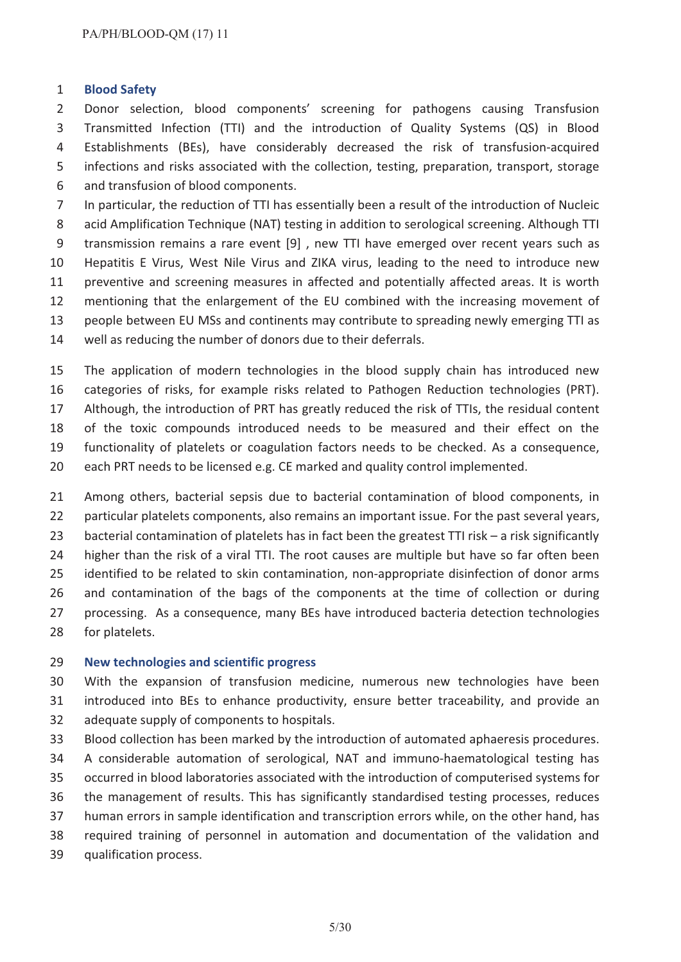#### **Blood Safety**

 Donor selection, blood components' screening for pathogens causing Transfusion Transmitted Infection (TTI) and the introduction of Quality Systems (QS) in Blood Establishments (BEs), have considerably decreased the risk of transfusion-acquired infections and risks associated with the collection, testing, preparation, transport, storage and transfusion of blood components.

 In particular, the reduction of TTI has essentially been a result of the introduction of Nucleic 8 acid Amplification Technique (NAT) testing in addition to serological screening. Although TTI transmission remains a rare event [9] , new TTI have emerged over recent years such as Hepatitis E Virus, West Nile Virus and ZIKA virus, leading to the need to introduce new preventive and screening measures in affected and potentially affected areas. It is worth mentioning that the enlargement of the EU combined with the increasing movement of people between EU MSs and continents may contribute to spreading newly emerging TTI as well as reducing the number of donors due to their deferrals.

 The application of modern technologies in the blood supply chain has introduced new categories of risks, for example risks related to Pathogen Reduction technologies (PRT). Although, the introduction of PRT has greatly reduced the risk of TTIs, the residual content of the toxic compounds introduced needs to be measured and their effect on the functionality of platelets or coagulation factors needs to be checked. As a consequence, each PRT needs to be licensed e.g. CE marked and quality control implemented.

 Among others, bacterial sepsis due to bacterial contamination of blood components, in particular platelets components, also remains an important issue. For the past several years, bacterial contamination of platelets has in fact been the greatest TTI risk – a risk significantly 24 higher than the risk of a viral TTI. The root causes are multiple but have so far often been identified to be related to skin contamination, non-appropriate disinfection of donor arms and contamination of the bags of the components at the time of collection or during processing. As a consequence, many BEs have introduced bacteria detection technologies for platelets.

#### **New technologies and scientific progress**

 With the expansion of transfusion medicine, numerous new technologies have been introduced into BEs to enhance productivity, ensure better traceability, and provide an adequate supply of components to hospitals.

- Blood collection has been marked by the introduction of automated aphaeresis procedures.
- A considerable automation of serological, NAT and immuno-haematological testing has
- occurred in blood laboratories associated with the introduction of computerised systems for
- the management of results. This has significantly standardised testing processes, reduces
- human errors in sample identification and transcription errors while, on the other hand, has
- required training of personnel in automation and documentation of the validation and
- qualification process.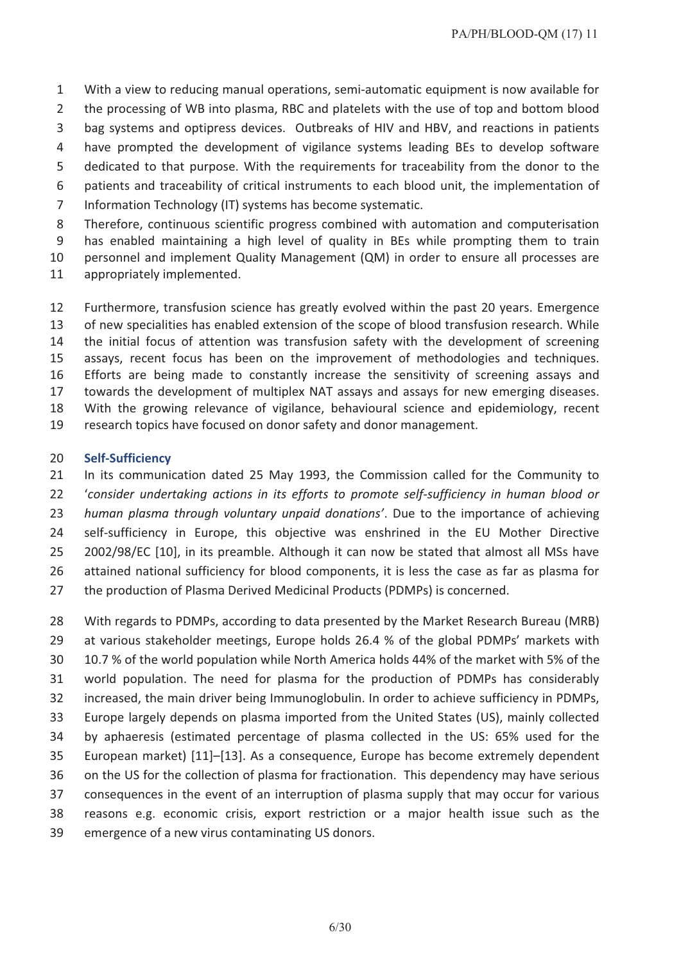With a view to reducing manual operations, semi-automatic equipment is now available for 2 the processing of WB into plasma, RBC and platelets with the use of top and bottom blood bag systems and optipress devices. Outbreaks of HIV and HBV, and reactions in patients have prompted the development of vigilance systems leading BEs to develop software dedicated to that purpose. With the requirements for traceability from the donor to the patients and traceability of critical instruments to each blood unit, the implementation of

Information Technology (IT) systems has become systematic.

Therefore, continuous scientific progress combined with automation and computerisation

has enabled maintaining a high level of quality in BEs while prompting them to train

personnel and implement Quality Management (QM) in order to ensure all processes are

appropriately implemented.

 Furthermore, transfusion science has greatly evolved within the past 20 years. Emergence of new specialities has enabled extension of the scope of blood transfusion research. While the initial focus of attention was transfusion safety with the development of screening assays, recent focus has been on the improvement of methodologies and techniques. Efforts are being made to constantly increase the sensitivity of screening assays and towards the development of multiplex NAT assays and assays for new emerging diseases. With the growing relevance of vigilance, behavioural science and epidemiology, recent research topics have focused on donor safety and donor management.

#### **Self-Sufficiency**

 In its communication dated 25 May 1993, the Commission called for the Community to '*consider undertaking actions in its efforts to promote self-sufficiency in human blood or human plasma through voluntary unpaid donations'*. Due to the importance of achieving self-sufficiency in Europe, this objective was enshrined in the EU Mother Directive 2002/98/EC [10], in its preamble. Although it can now be stated that almost all MSs have attained national sufficiency for blood components, it is less the case as far as plasma for the production of Plasma Derived Medicinal Products (PDMPs) is concerned.

 With regards to PDMPs, according to data presented by the Market Research Bureau (MRB) at various stakeholder meetings, Europe holds 26.4 % of the global PDMPs' markets with 10.7 % of the world population while North America holds 44% of the market with 5% of the world population. The need for plasma for the production of PDMPs has considerably increased, the main driver being Immunoglobulin. In order to achieve sufficiency in PDMPs, Europe largely depends on plasma imported from the United States (US), mainly collected by aphaeresis (estimated percentage of plasma collected in the US: 65% used for the European market) [11]–[13]. As a consequence, Europe has become extremely dependent on the US for the collection of plasma for fractionation. This dependency may have serious consequences in the event of an interruption of plasma supply that may occur for various reasons e.g. economic crisis, export restriction or a major health issue such as the emergence of a new virus contaminating US donors.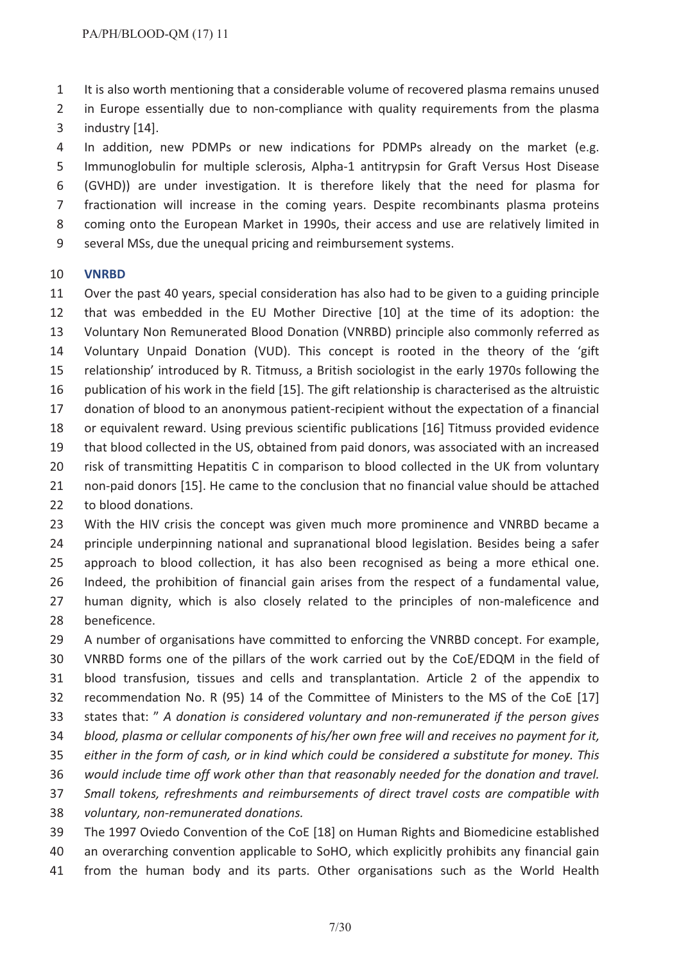It is also worth mentioning that a considerable volume of recovered plasma remains unused

 in Europe essentially due to non-compliance with quality requirements from the plasma industry [14].

 In addition, new PDMPs or new indications for PDMPs already on the market (e.g. Immunoglobulin for multiple sclerosis, Alpha-1 antitrypsin for Graft Versus Host Disease (GVHD)) are under investigation. It is therefore likely that the need for plasma for fractionation will increase in the coming years. Despite recombinants plasma proteins coming onto the European Market in 1990s, their access and use are relatively limited in several MSs, due the unequal pricing and reimbursement systems.

#### **VNRBD**

 Over the past 40 years, special consideration has also had to be given to a guiding principle that was embedded in the EU Mother Directive [10] at the time of its adoption: the Voluntary Non Remunerated Blood Donation (VNRBD) principle also commonly referred as Voluntary Unpaid Donation (VUD). This concept is rooted in the theory of the 'gift relationship' introduced by R. Titmuss, a British sociologist in the early 1970s following the publication of his work in the field [15]. The gift relationship is characterised as the altruistic donation of blood to an anonymous patient-recipient without the expectation of a financial or equivalent reward. Using previous scientific publications [16] Titmuss provided evidence that blood collected in the US, obtained from paid donors, was associated with an increased risk of transmitting Hepatitis C in comparison to blood collected in the UK from voluntary non-paid donors [15]. He came to the conclusion that no financial value should be attached to blood donations.

 With the HIV crisis the concept was given much more prominence and VNRBD became a principle underpinning national and supranational blood legislation. Besides being a safer approach to blood collection, it has also been recognised as being a more ethical one. Indeed, the prohibition of financial gain arises from the respect of a fundamental value, human dignity, which is also closely related to the principles of non-maleficence and beneficence.

 A number of organisations have committed to enforcing the VNRBD concept. For example, VNRBD forms one of the pillars of the work carried out by the CoE/EDQM in the field of blood transfusion, tissues and cells and transplantation. Article 2 of the appendix to recommendation No. R (95) 14 of the Committee of Ministers to the MS of the CoE [17] states that: " *A donation is considered voluntary and non-remunerated if the person gives blood, plasma or cellular components of his/her own free will and receives no payment for it, either in the form of cash, or in kind which could be considered a substitute for money. This would include time off work other than that reasonably needed for the donation and travel. Small tokens, refreshments and reimbursements of direct travel costs are compatible with voluntary, non-remunerated donations.*

 The 1997 Oviedo Convention of the CoE [18] on Human Rights and Biomedicine established an overarching convention applicable to SoHO, which explicitly prohibits any financial gain from the human body and its parts. Other organisations such as the World Health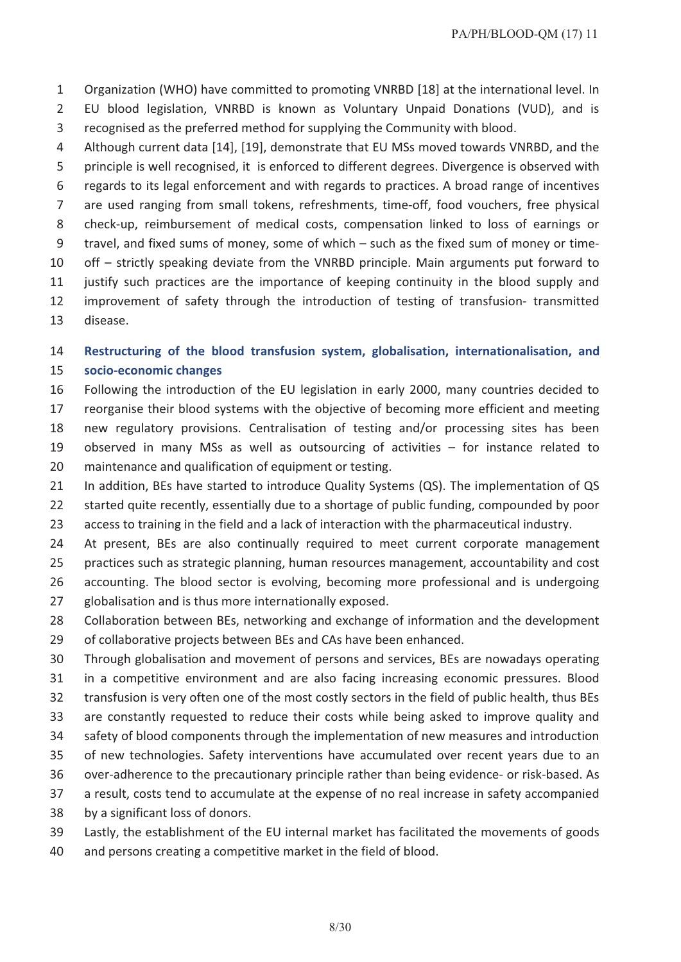Organization (WHO) have committed to promoting VNRBD [18] at the international level. In EU blood legislation, VNRBD is known as Voluntary Unpaid Donations (VUD), and is recognised as the preferred method for supplying the Community with blood.

 Although current data [14], [19], demonstrate that EU MSs moved towards VNRBD, and the principle is well recognised, it is enforced to different degrees. Divergence is observed with regards to its legal enforcement and with regards to practices. A broad range of incentives are used ranging from small tokens, refreshments, time-off, food vouchers, free physical check-up, reimbursement of medical costs, compensation linked to loss of earnings or travel, and fixed sums of money, some of which – such as the fixed sum of money or time- off – strictly speaking deviate from the VNRBD principle. Main arguments put forward to justify such practices are the importance of keeping continuity in the blood supply and improvement of safety through the introduction of testing of transfusion- transmitted disease.

# **Restructuring of the blood transfusion system, globalisation, internationalisation, and socio-economic changes**

- Following the introduction of the EU legislation in early 2000, many countries decided to
- reorganise their blood systems with the objective of becoming more efficient and meeting new regulatory provisions. Centralisation of testing and/or processing sites has been observed in many MSs as well as outsourcing of activities – for instance related to
- maintenance and qualification of equipment or testing.
- 21 In addition, BEs have started to introduce Quality Systems (QS). The implementation of QS started quite recently, essentially due to a shortage of public funding, compounded by poor
- access to training in the field and a lack of interaction with the pharmaceutical industry.
- At present, BEs are also continually required to meet current corporate management
- practices such as strategic planning, human resources management, accountability and cost accounting. The blood sector is evolving, becoming more professional and is undergoing
- globalisation and is thus more internationally exposed.
- Collaboration between BEs, networking and exchange of information and the development
- of collaborative projects between BEs and CAs have been enhanced.
- Through globalisation and movement of persons and services, BEs are nowadays operating
- in a competitive environment and are also facing increasing economic pressures. Blood
- transfusion is very often one of the most costly sectors in the field of public health, thus BEs
- are constantly requested to reduce their costs while being asked to improve quality and safety of blood components through the implementation of new measures and introduction
- of new technologies. Safety interventions have accumulated over recent years due to an
- over-adherence to the precautionary principle rather than being evidence- or risk-based. As
- a result, costs tend to accumulate at the expense of no real increase in safety accompanied
- by a significant loss of donors.
- Lastly, the establishment of the EU internal market has facilitated the movements of goods
- and persons creating a competitive market in the field of blood.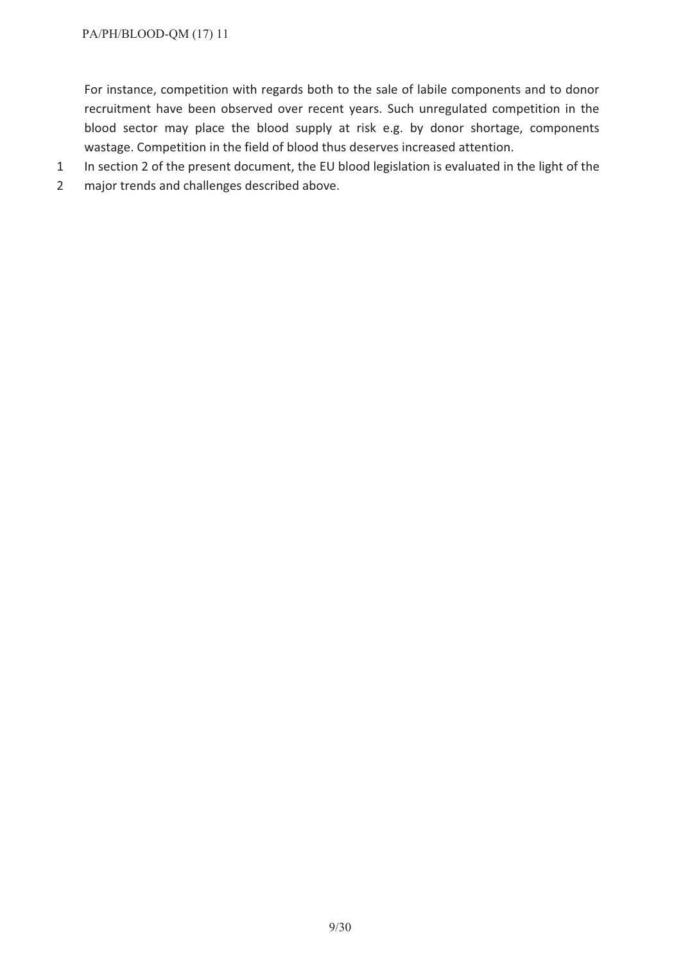For instance, competition with regards both to the sale of labile components and to donor recruitment have been observed over recent years. Such unregulated competition in the blood sector may place the blood supply at risk e.g. by donor shortage, components wastage. Competition in the field of blood thus deserves increased attention.

- 1 In section 2 of the present document, the EU blood legislation is evaluated in the light of the
- 2 major trends and challenges described above.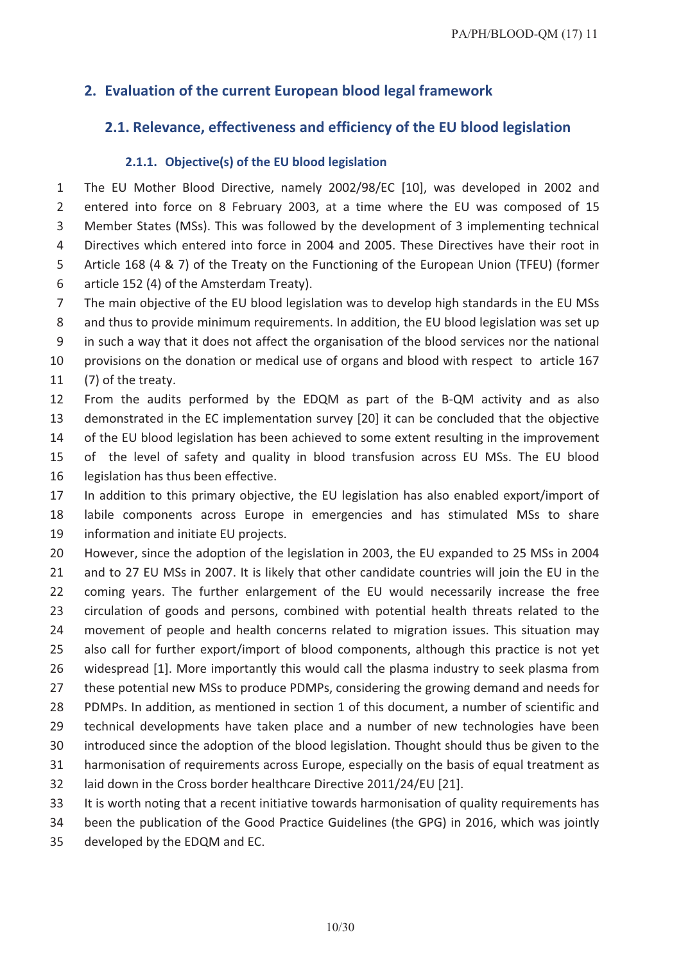# **2. Evaluation of the current European blood legal framework**

# **2.1. Relevance, effectiveness and efficiency of the EU blood legislation**

#### **2.1.1. Objective(s) of the EU blood legislation**

 The EU Mother Blood Directive, namely 2002/98/EC [10], was developed in 2002 and entered into force on 8 February 2003, at a time where the EU was composed of 15 Member States (MSs). This was followed by the development of 3 implementing technical Directives which entered into force in 2004 and 2005. These Directives have their root in Article 168 (4 & 7) of the Treaty on the Functioning of the European Union (TFEU) (former

- article 152 (4) of the Amsterdam Treaty).
- The main objective of the EU blood legislation was to develop high standards in the EU MSs
- and thus to provide minimum requirements. In addition, the EU blood legislation was set up

in such a way that it does not affect the organisation of the blood services nor the national

 provisions on the donation or medical use of organs and blood with respect to article 167 (7) of the treaty.

 From the audits performed by the EDQM as part of the B-QM activity and as also demonstrated in the EC implementation survey [20] it can be concluded that the objective 14 of the EU blood legislation has been achieved to some extent resulting in the improvement of the level of safety and quality in blood transfusion across EU MSs. The EU blood

legislation has thus been effective.

 In addition to this primary objective, the EU legislation has also enabled export/import of labile components across Europe in emergencies and has stimulated MSs to share information and initiate EU projects.

 However, since the adoption of the legislation in 2003, the EU expanded to 25 MSs in 2004 and to 27 EU MSs in 2007. It is likely that other candidate countries will join the EU in the coming years. The further enlargement of the EU would necessarily increase the free circulation of goods and persons, combined with potential health threats related to the movement of people and health concerns related to migration issues. This situation may also call for further export/import of blood components, although this practice is not yet widespread [1]. More importantly this would call the plasma industry to seek plasma from these potential new MSs to produce PDMPs, considering the growing demand and needs for PDMPs. In addition, as mentioned in section 1 of this document, a number of scientific and technical developments have taken place and a number of new technologies have been introduced since the adoption of the blood legislation. Thought should thus be given to the harmonisation of requirements across Europe, especially on the basis of equal treatment as laid down in the Cross border healthcare Directive 2011/24/EU [21].

- It is worth noting that a recent initiative towards harmonisation of quality requirements has
- been the publication of the Good Practice Guidelines (the GPG) in 2016, which was jointly
- developed by the EDQM and EC.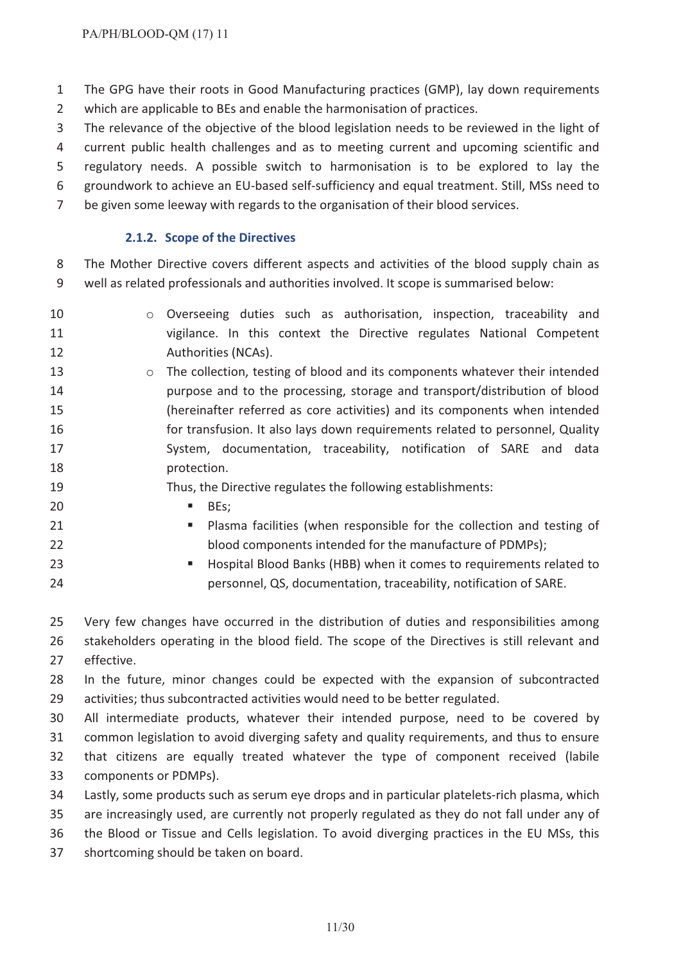The GPG have their roots in Good Manufacturing practices (GMP), lay down requirements which are applicable to BEs and enable the harmonisation of practices.

The relevance of the objective of the blood legislation needs to be reviewed in the light of

current public health challenges and as to meeting current and upcoming scientific and

regulatory needs. A possible switch to harmonisation is to be explored to lay the

groundwork to achieve an EU-based self-sufficiency and equal treatment. Still, MSs need to

be given some leeway with regards to the organisation of their blood services.

# **2.1.2. Scope of the Directives**

 The Mother Directive covers different aspects and activities of the blood supply chain as well as related professionals and authorities involved. It scope is summarised below:

- 10 o Overseeing duties such as authorisation, inspection, traceability and vigilance. In this context the Directive regulates National Competent Authorities (NCAs).
- **13** o The collection, testing of blood and its components whatever their intended purpose and to the processing, storage and transport/distribution of blood (hereinafter referred as core activities) and its components when intended for transfusion. It also lays down requirements related to personnel, Quality 17 System, documentation, traceability, notification of SARE and data **protection**.

# Thus, the Directive regulates the following establishments:

- **BEs;**
- **Plasma facilities (when responsible for the collection and testing of** blood components intended for the manufacture of PDMPs);
- **Example 23 Hospital Blood Banks (HBB) when it comes to requirements related to** personnel, QS, documentation, traceability, notification of SARE.

 Very few changes have occurred in the distribution of duties and responsibilities among stakeholders operating in the blood field. The scope of the Directives is still relevant and effective.

 In the future, minor changes could be expected with the expansion of subcontracted activities; thus subcontracted activities would need to be better regulated.

 All intermediate products, whatever their intended purpose, need to be covered by common legislation to avoid diverging safety and quality requirements, and thus to ensure that citizens are equally treated whatever the type of component received (labile

- components or PDMPs).
- Lastly, some products such as serum eye drops and in particular platelets-rich plasma, which

are increasingly used, are currently not properly regulated as they do not fall under any of

the Blood or Tissue and Cells legislation. To avoid diverging practices in the EU MSs, this

shortcoming should be taken on board.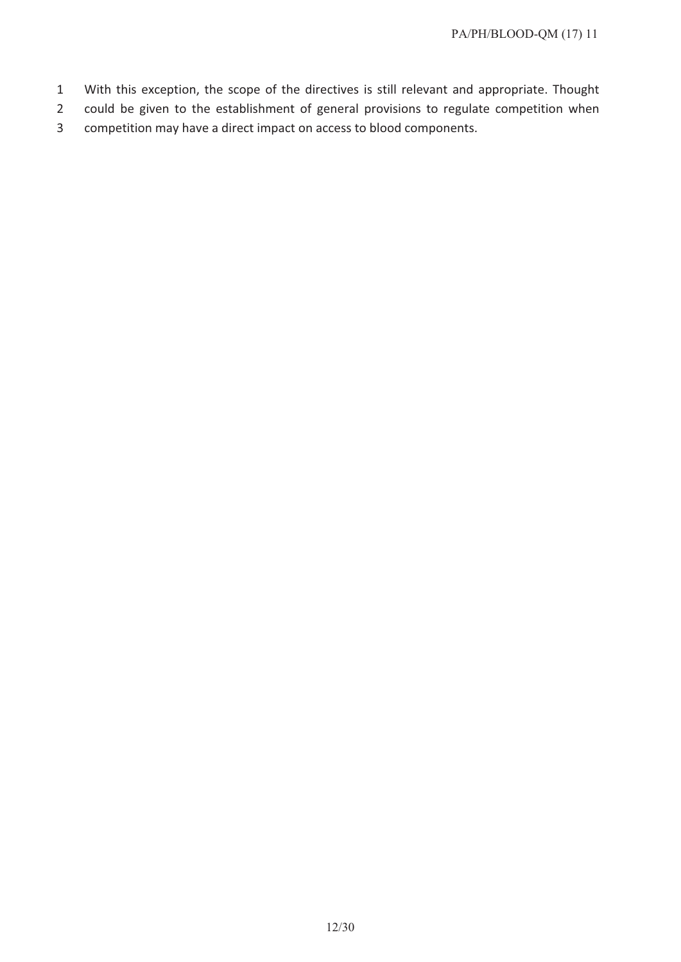- 1 With this exception, the scope of the directives is still relevant and appropriate. Thought
- 2 could be given to the establishment of general provisions to regulate competition when
- 3 competition may have a direct impact on access to blood components.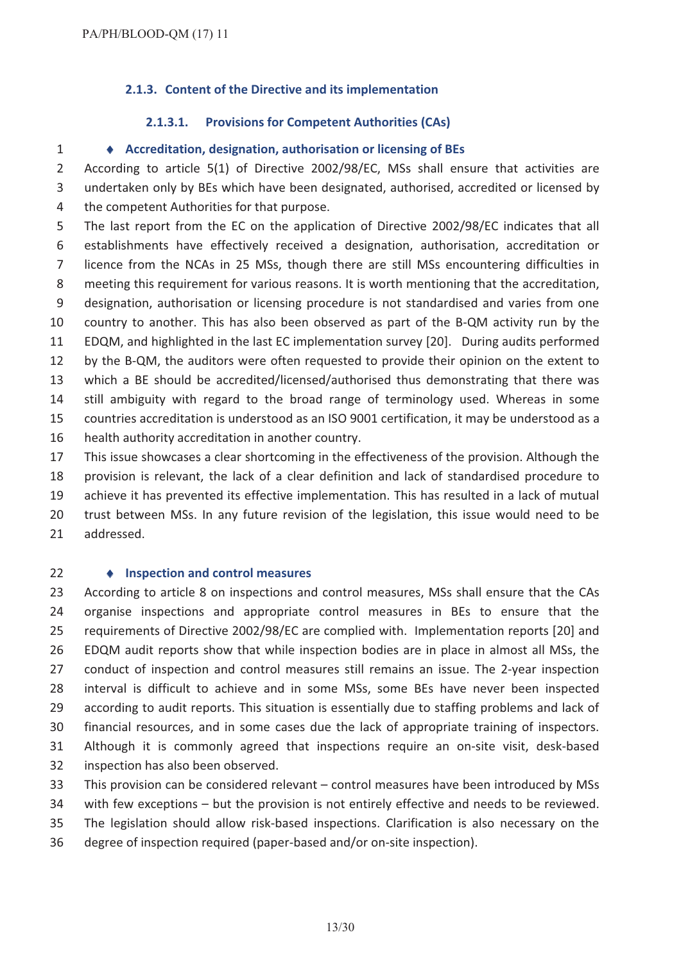#### **2.1.3. Content of the Directive and its implementation**

#### **2.1.3.1. Provisions for Competent Authorities (CAs)**

#### i **Accreditation, designation, authorisation or licensing of BEs**

 According to article 5(1) of Directive 2002/98/EC, MSs shall ensure that activities are undertaken only by BEs which have been designated, authorised, accredited or licensed by the competent Authorities for that purpose.

 The last report from the EC on the application of Directive 2002/98/EC indicates that all establishments have effectively received a designation, authorisation, accreditation or licence from the NCAs in 25 MSs, though there are still MSs encountering difficulties in meeting this requirement for various reasons. It is worth mentioning that the accreditation, designation, authorisation or licensing procedure is not standardised and varies from one country to another. This has also been observed as part of the B-QM activity run by the EDQM, and highlighted in the last EC implementation survey [20]. During audits performed by the B-QM, the auditors were often requested to provide their opinion on the extent to which a BE should be accredited/licensed/authorised thus demonstrating that there was still ambiguity with regard to the broad range of terminology used. Whereas in some countries accreditation is understood as an ISO 9001 certification, it may be understood as a health authority accreditation in another country. This issue showcases a clear shortcoming in the effectiveness of the provision. Although the provision is relevant, the lack of a clear definition and lack of standardised procedure to

 achieve it has prevented its effective implementation. This has resulted in a lack of mutual trust between MSs. In any future revision of the legislation, this issue would need to be

addressed.

#### i **Inspection and control measures**

 According to article 8 on inspections and control measures, MSs shall ensure that the CAs organise inspections and appropriate control measures in BEs to ensure that the requirements of Directive 2002/98/EC are complied with. Implementation reports [20] and EDQM audit reports show that while inspection bodies are in place in almost all MSs, the conduct of inspection and control measures still remains an issue. The 2-year inspection interval is difficult to achieve and in some MSs, some BEs have never been inspected according to audit reports. This situation is essentially due to staffing problems and lack of financial resources, and in some cases due the lack of appropriate training of inspectors. Although it is commonly agreed that inspections require an on-site visit, desk-based inspection has also been observed.

This provision can be considered relevant – control measures have been introduced by MSs

with few exceptions – but the provision is not entirely effective and needs to be reviewed.

The legislation should allow risk-based inspections. Clarification is also necessary on the

degree of inspection required (paper-based and/or on-site inspection).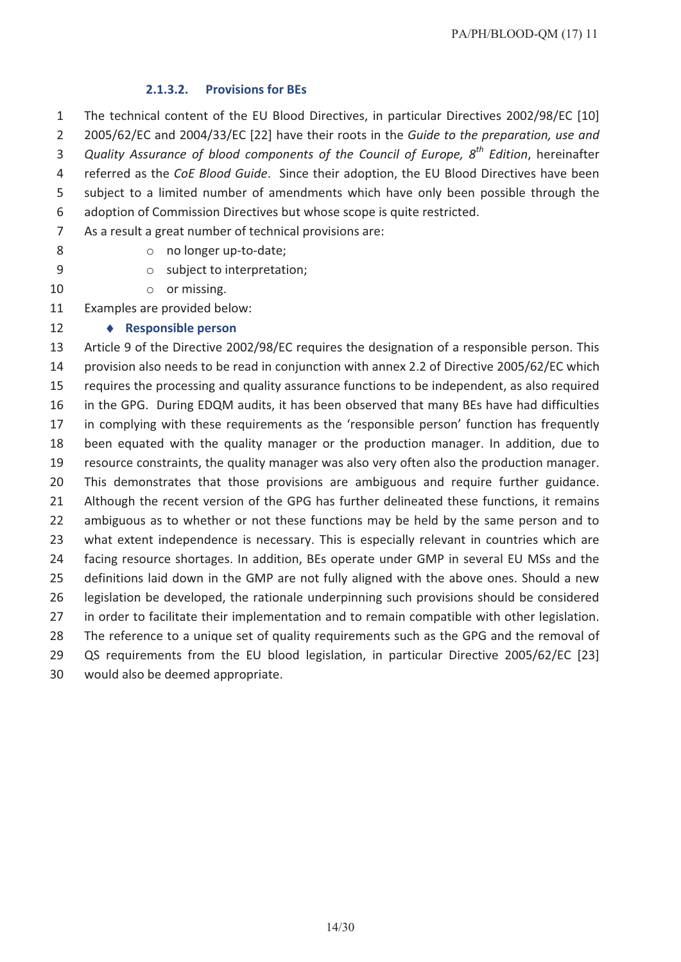#### **2.1.3.2. Provisions for BEs**

 The technical content of the EU Blood Directives, in particular Directives 2002/98/EC [10] 2005/62/EC and 2004/33/EC [22] have their roots in the *Guide to the preparation, use and Quality Assurance of blood components of the Council of Europe, 8 th Edition*, hereinafter referred as the *CoE Blood Guide*. Since their adoption, the EU Blood Directives have been subject to a limited number of amendments which have only been possible through the adoption of Commission Directives but whose scope is quite restricted.

- As a result a great number of technical provisions are:
- 

# 8 o no longer up-to-date;

- o subject to interpretation;
- 10 or missing.

Examples are provided below:

#### **• Responsible person**

 Article 9 of the Directive 2002/98/EC requires the designation of a responsible person. This provision also needs to be read in conjunction with annex 2.2 of Directive 2005/62/EC which requires the processing and quality assurance functions to be independent, as also required in the GPG. During EDQM audits, it has been observed that many BEs have had difficulties in complying with these requirements as the 'responsible person' function has frequently been equated with the quality manager or the production manager. In addition, due to resource constraints, the quality manager was also very often also the production manager. This demonstrates that those provisions are ambiguous and require further guidance. 21 Although the recent version of the GPG has further delineated these functions, it remains ambiguous as to whether or not these functions may be held by the same person and to what extent independence is necessary. This is especially relevant in countries which are facing resource shortages. In addition, BEs operate under GMP in several EU MSs and the definitions laid down in the GMP are not fully aligned with the above ones. Should a new legislation be developed, the rationale underpinning such provisions should be considered in order to facilitate their implementation and to remain compatible with other legislation. 28 The reference to a unique set of quality requirements such as the GPG and the removal of QS requirements from the EU blood legislation, in particular Directive 2005/62/EC [23] would also be deemed appropriate.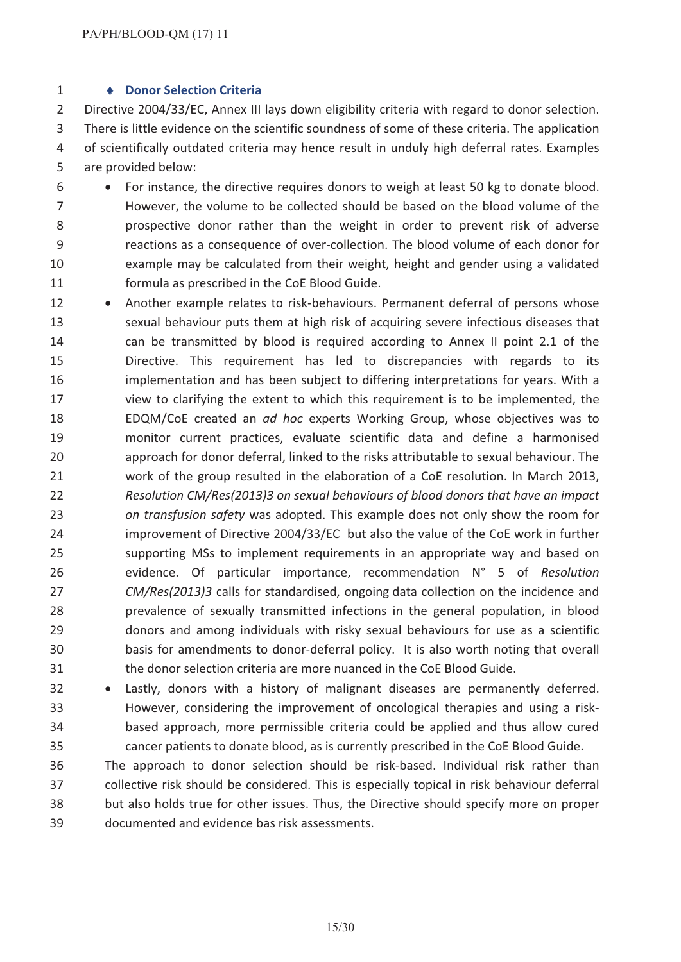#### i **Donor Selection Criteria**

 Directive 2004/33/EC, Annex III lays down eligibility criteria with regard to donor selection. There is little evidence on the scientific soundness of some of these criteria. The application of scientifically outdated criteria may hence result in unduly high deferral rates. Examples are provided below:

- $6 \rightarrow$  For instance, the directive requires donors to weigh at least 50 kg to donate blood. However, the volume to be collected should be based on the blood volume of the prospective donor rather than the weight in order to prevent risk of adverse reactions as a consequence of over-collection. The blood volume of each donor for example may be calculated from their weight, height and gender using a validated formula as prescribed in the CoE Blood Guide.
- 12 Another example relates to risk-behaviours. Permanent deferral of persons whose sexual behaviour puts them at high risk of acquiring severe infectious diseases that can be transmitted by blood is required according to Annex II point 2.1 of the Directive. This requirement has led to discrepancies with regards to its implementation and has been subject to differing interpretations for years. With a view to clarifying the extent to which this requirement is to be implemented, the EDQM/CoE created an *ad hoc* experts Working Group, whose objectives was to monitor current practices, evaluate scientific data and define a harmonised approach for donor deferral, linked to the risks attributable to sexual behaviour. The work of the group resulted in the elaboration of a CoE resolution. In March 2013, *Resolution CM/Res(2013)3 on sexual behaviours of blood donors that have an impact on transfusion safety* was adopted. This example does not only show the room for improvement of Directive 2004/33/EC but also the value of the CoE work in further supporting MSs to implement requirements in an appropriate way and based on evidence. Of particular importance, recommendation N° 5 of *Resolution CM/Res(2013)3* calls for standardised, ongoing data collection on the incidence and prevalence of sexually transmitted infections in the general population, in blood donors and among individuals with risky sexual behaviours for use as a scientific basis for amendments to donor-deferral policy. It is also worth noting that overall the donor selection criteria are more nuanced in the CoE Blood Guide.
- 32 · Lastly, donors with a history of malignant diseases are permanently deferred. However, considering the improvement of oncological therapies and using a risk- based approach, more permissible criteria could be applied and thus allow cured cancer patients to donate blood, as is currently prescribed in the CoE Blood Guide.
- The approach to donor selection should be risk-based. Individual risk rather than collective risk should be considered. This is especially topical in risk behaviour deferral but also holds true for other issues. Thus, the Directive should specify more on proper documented and evidence bas risk assessments.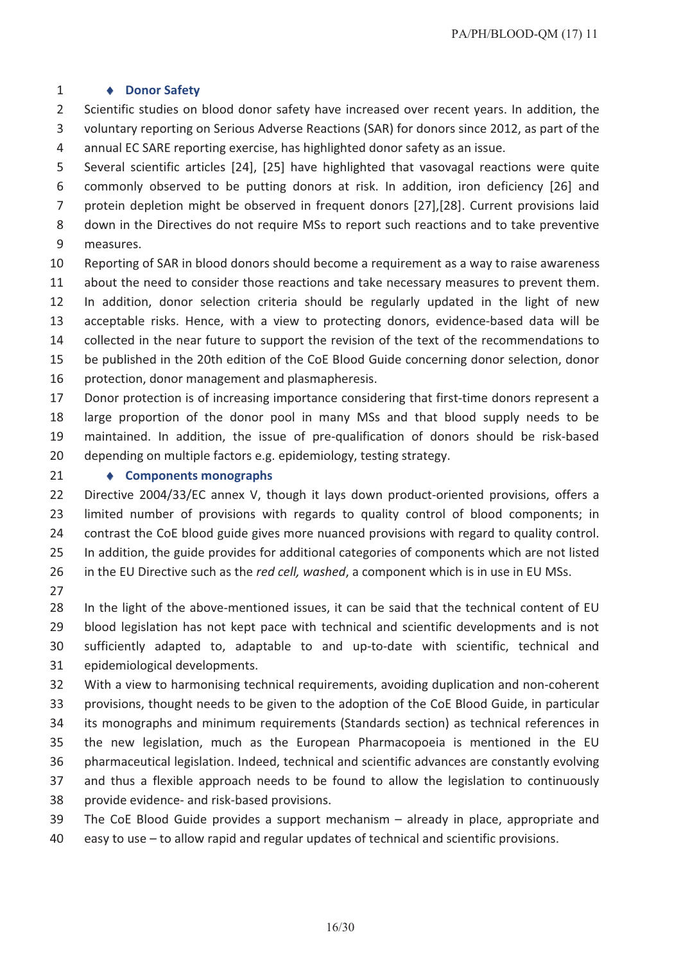#### 1  $\bullet$  **Donor** Safety

 Scientific studies on blood donor safety have increased over recent years. In addition, the voluntary reporting on Serious Adverse Reactions (SAR) for donors since 2012, as part of the annual EC SARE reporting exercise, has highlighted donor safety as an issue.

- Several scientific articles [24], [25] have highlighted that vasovagal reactions were quite commonly observed to be putting donors at risk. In addition, iron deficiency [26] and protein depletion might be observed in frequent donors [27],[28]. Current provisions laid down in the Directives do not require MSs to report such reactions and to take preventive measures.
- Reporting of SAR in blood donors should become a requirement as a way to raise awareness about the need to consider those reactions and take necessary measures to prevent them.
- In addition, donor selection criteria should be regularly updated in the light of new acceptable risks. Hence, with a view to protecting donors, evidence-based data will be collected in the near future to support the revision of the text of the recommendations to be published in the 20th edition of the CoE Blood Guide concerning donor selection, donor
- protection, donor management and plasmapheresis.
- Donor protection is of increasing importance considering that first-time donors represent a large proportion of the donor pool in many MSs and that blood supply needs to be maintained. In addition, the issue of pre-qualification of donors should be risk-based depending on multiple factors e.g. epidemiology, testing strategy.
- 

#### **• Components monographs**

 Directive 2004/33/EC annex V, though it lays down product-oriented provisions, offers a limited number of provisions with regards to quality control of blood components; in contrast the CoE blood guide gives more nuanced provisions with regard to quality control. In addition, the guide provides for additional categories of components which are not listed in the EU Directive such as the *red cell, washed*, a component which is in use in EU MSs.

27<br>28 In the light of the above-mentioned issues, it can be said that the technical content of EU blood legislation has not kept pace with technical and scientific developments and is not sufficiently adapted to, adaptable to and up-to-date with scientific, technical and epidemiological developments.

 With a view to harmonising technical requirements, avoiding duplication and non-coherent provisions, thought needs to be given to the adoption of the CoE Blood Guide, in particular its monographs and minimum requirements (Standards section) as technical references in the new legislation, much as the European Pharmacopoeia is mentioned in the EU pharmaceutical legislation. Indeed, technical and scientific advances are constantly evolving and thus a flexible approach needs to be found to allow the legislation to continuously provide evidence- and risk-based provisions.

- The CoE Blood Guide provides a support mechanism already in place, appropriate and
- easy to use to allow rapid and regular updates of technical and scientific provisions.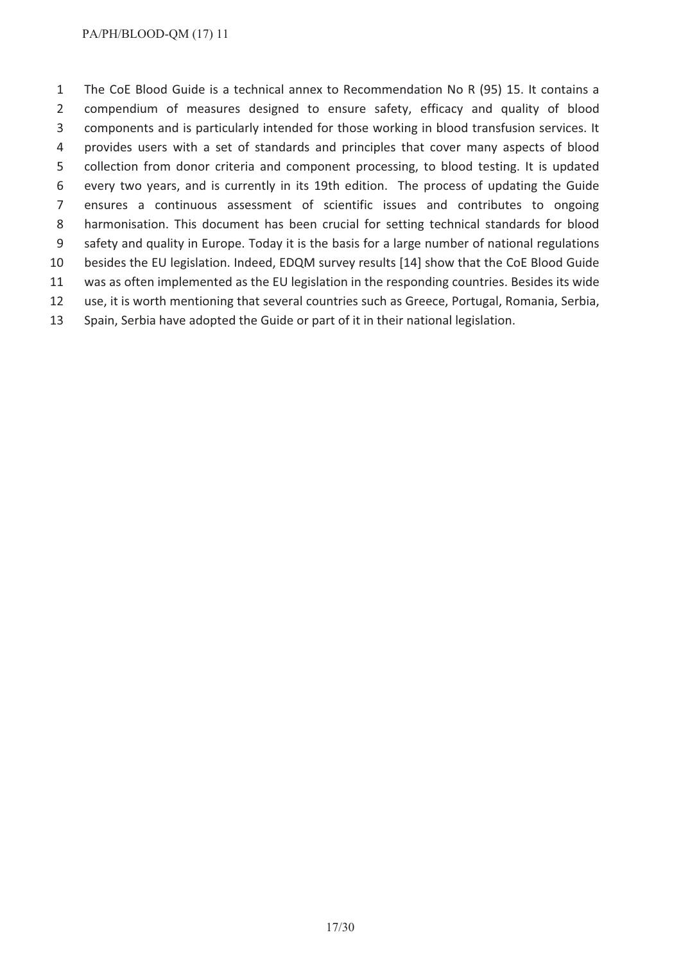The CoE Blood Guide is a technical annex to Recommendation No R (95) 15. It contains a compendium of measures designed to ensure safety, efficacy and quality of blood components and is particularly intended for those working in blood transfusion services. It provides users with a set of standards and principles that cover many aspects of blood collection from donor criteria and component processing, to blood testing. It is updated every two years, and is currently in its 19th edition. The process of updating the Guide ensures a continuous assessment of scientific issues and contributes to ongoing harmonisation. This document has been crucial for setting technical standards for blood safety and quality in Europe. Today it is the basis for a large number of national regulations besides the EU legislation. Indeed, EDQM survey results [14] show that the CoE Blood Guide was as often implemented as the EU legislation in the responding countries. Besides its wide use, it is worth mentioning that several countries such as Greece, Portugal, Romania, Serbia, Spain, Serbia have adopted the Guide or part of it in their national legislation.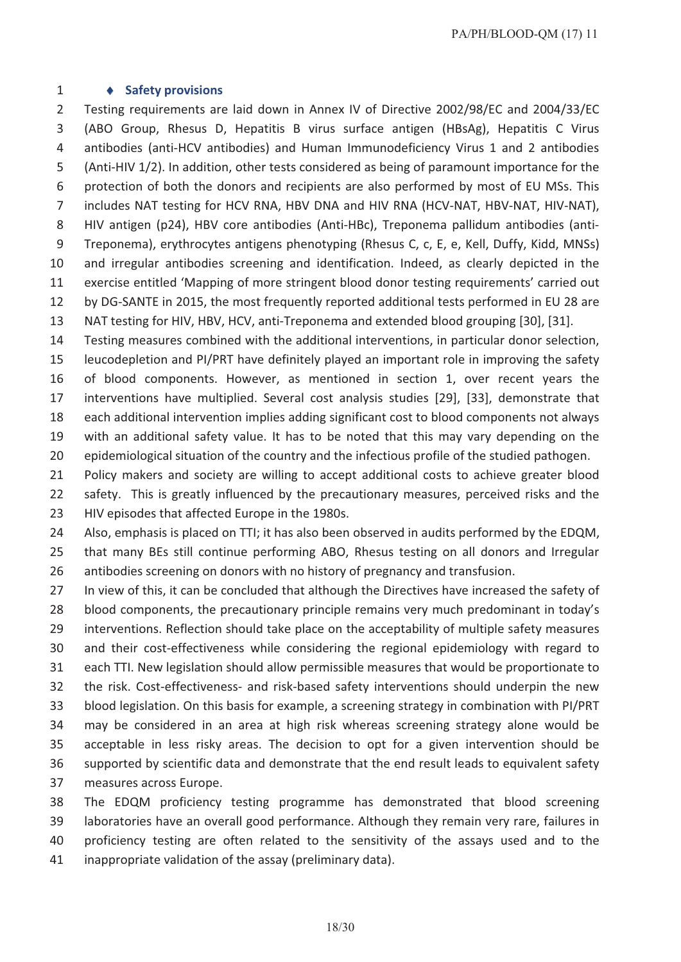#### 1  $\rightarrow$  **Safety provisions**

 Testing requirements are laid down in Annex IV of Directive 2002/98/EC and 2004/33/EC (ABO Group, Rhesus D, Hepatitis B virus surface antigen (HBsAg), Hepatitis C Virus antibodies (anti-HCV antibodies) and Human Immunodeficiency Virus 1 and 2 antibodies (Anti-HIV 1/2). In addition, other tests considered as being of paramount importance for the protection of both the donors and recipients are also performed by most of EU MSs. This 7 includes NAT testing for HCV RNA, HBV DNA and HIV RNA (HCV-NAT, HBV-NAT, HIV-NAT), HIV antigen (p24), HBV core antibodies (Anti-HBc), Treponema pallidum antibodies (anti- Treponema), erythrocytes antigens phenotyping (Rhesus C, c, E, e, Kell, Duffy, Kidd, MNSs) and irregular antibodies screening and identification. Indeed, as clearly depicted in the exercise entitled 'Mapping of more stringent blood donor testing requirements' carried out by DG-SANTE in 2015, the most frequently reported additional tests performed in EU 28 are NAT testing for HIV, HBV, HCV, anti-Treponema and extended blood grouping [30], [31].

 Testing measures combined with the additional interventions, in particular donor selection, leucodepletion and PI/PRT have definitely played an important role in improving the safety of blood components. However, as mentioned in section 1, over recent years the interventions have multiplied. Several cost analysis studies [29], [33], demonstrate that each additional intervention implies adding significant cost to blood components not always with an additional safety value. It has to be noted that this may vary depending on the epidemiological situation of the country and the infectious profile of the studied pathogen.

21 Policy makers and society are willing to accept additional costs to achieve greater blood safety. This is greatly influenced by the precautionary measures, perceived risks and the HIV episodes that affected Europe in the 1980s.

 Also, emphasis is placed on TTI; it has also been observed in audits performed by the EDQM, that many BEs still continue performing ABO, Rhesus testing on all donors and Irregular antibodies screening on donors with no history of pregnancy and transfusion.

27 In view of this, it can be concluded that although the Directives have increased the safety of blood components, the precautionary principle remains very much predominant in today's interventions. Reflection should take place on the acceptability of multiple safety measures and their cost-effectiveness while considering the regional epidemiology with regard to each TTI. New legislation should allow permissible measures that would be proportionate to the risk. Cost-effectiveness- and risk-based safety interventions should underpin the new blood legislation. On this basis for example, a screening strategy in combination with PI/PRT may be considered in an area at high risk whereas screening strategy alone would be acceptable in less risky areas. The decision to opt for a given intervention should be supported by scientific data and demonstrate that the end result leads to equivalent safety measures across Europe.

 The EDQM proficiency testing programme has demonstrated that blood screening laboratories have an overall good performance. Although they remain very rare, failures in proficiency testing are often related to the sensitivity of the assays used and to the

inappropriate validation of the assay (preliminary data).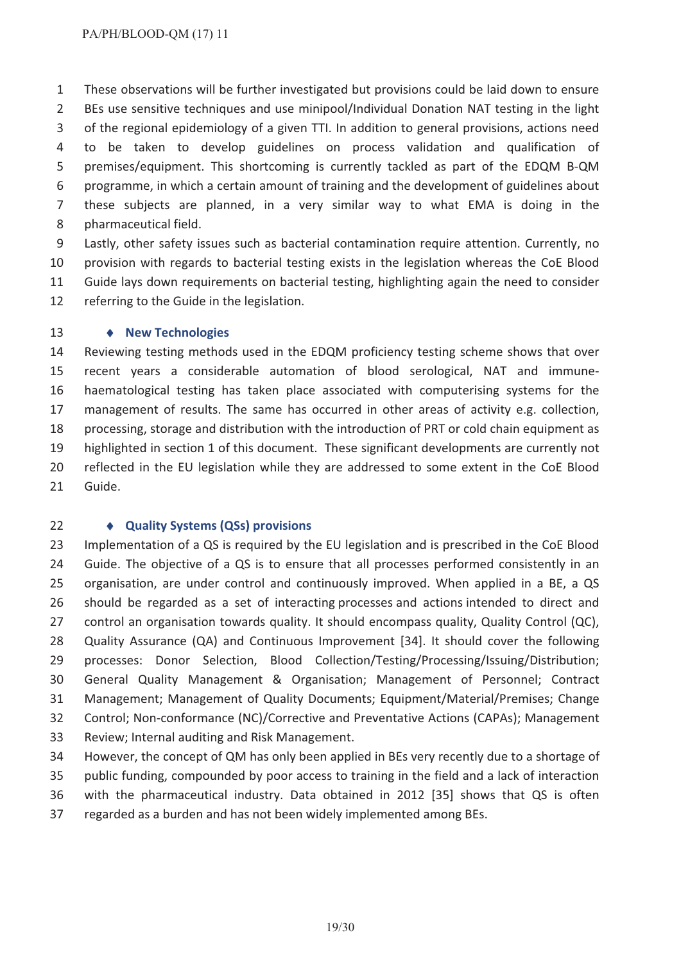These observations will be further investigated but provisions could be laid down to ensure BEs use sensitive techniques and use minipool/Individual Donation NAT testing in the light of the regional epidemiology of a given TTI. In addition to general provisions, actions need to be taken to develop guidelines on process validation and qualification of premises/equipment. This shortcoming is currently tackled as part of the EDQM B-QM programme, in which a certain amount of training and the development of guidelines about these subjects are planned, in a very similar way to what EMA is doing in the pharmaceutical field.

 Lastly, other safety issues such as bacterial contamination require attention. Currently, no provision with regards to bacterial testing exists in the legislation whereas the CoE Blood Guide lays down requirements on bacterial testing, highlighting again the need to consider referring to the Guide in the legislation.

#### 13 • New Technologies

 Reviewing testing methods used in the EDQM proficiency testing scheme shows that over recent years a considerable automation of blood serological, NAT and immune- haematological testing has taken place associated with computerising systems for the management of results. The same has occurred in other areas of activity e.g. collection, processing, storage and distribution with the introduction of PRT or cold chain equipment as highlighted in section 1 of this document. These significant developments are currently not reflected in the EU legislation while they are addressed to some extent in the CoE Blood Guide.

#### i **Quality Systems (QSs) provisions**

 Implementation of a QS is required by the EU legislation and is prescribed in the CoE Blood Guide. The objective of a QS is to ensure that all processes performed consistently in an organisation, are under control and continuously improved. When applied in a BE, a QS should be regarded as a set of interacting processes and actions intended to direct and control an organisation towards quality. It should encompass quality, Quality Control (QC), Quality Assurance (QA) and Continuous Improvement [34]. It should cover the following 29 processes: Donor Selection, Blood Collection/Testing/Processing/Issuing/Distribution; General Quality Management & Organisation; Management of Personnel; Contract Management; Management of Quality Documents; Equipment/Material/Premises; Change Control; Non-conformance (NC)/Corrective and Preventative Actions (CAPAs); Management Review; Internal auditing and Risk Management.

 However, the concept of QM has only been applied in BEs very recently due to a shortage of public funding, compounded by poor access to training in the field and a lack of interaction with the pharmaceutical industry. Data obtained in 2012 [35] shows that QS is often regarded as a burden and has not been widely implemented among BEs.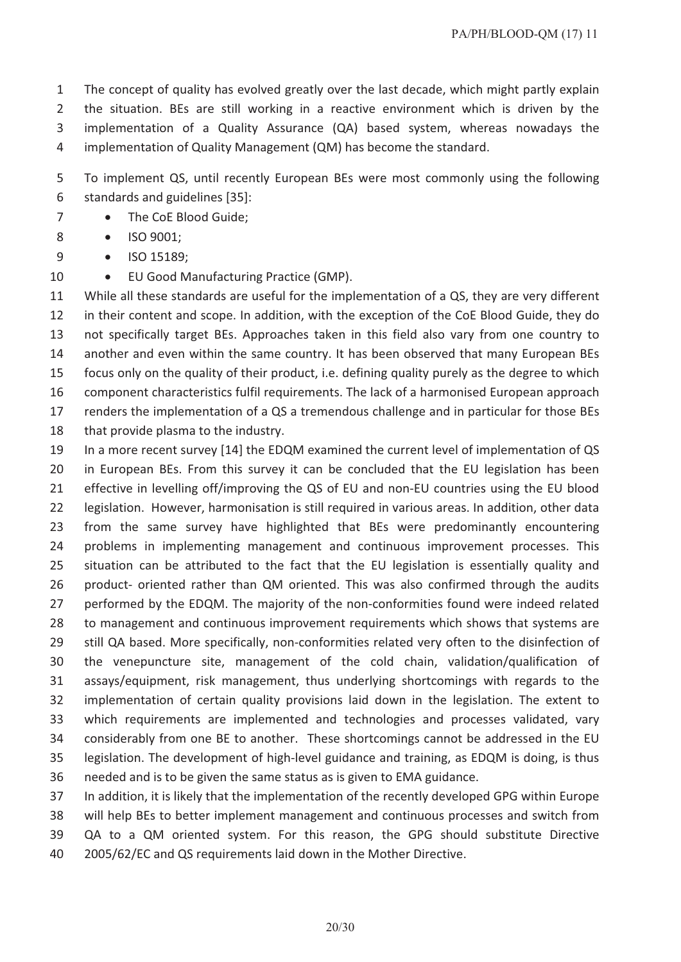The concept of quality has evolved greatly over the last decade, which might partly explain the situation. BEs are still working in a reactive environment which is driven by the implementation of a Quality Assurance (QA) based system, whereas nowadays the implementation of Quality Management (QM) has become the standard.

 To implement QS, until recently European BEs were most commonly using the following standards and guidelines [35]:

- 7 The CoE Blood Guide;
- 8 ISO 9001:
- 9 ISO 15189;
- 10 EU Good Manufacturing Practice (GMP).

 While all these standards are useful for the implementation of a QS, they are very different in their content and scope. In addition, with the exception of the CoE Blood Guide, they do not specifically target BEs. Approaches taken in this field also vary from one country to another and even within the same country. It has been observed that many European BEs focus only on the quality of their product, i.e. defining quality purely as the degree to which component characteristics fulfil requirements. The lack of a harmonised European approach renders the implementation of a QS a tremendous challenge and in particular for those BEs 18 that provide plasma to the industry.

 In a more recent survey [14] the EDQM examined the current level of implementation of QS in European BEs. From this survey it can be concluded that the EU legislation has been effective in levelling off/improving the QS of EU and non-EU countries using the EU blood legislation. However, harmonisation is still required in various areas. In addition, other data from the same survey have highlighted that BEs were predominantly encountering problems in implementing management and continuous improvement processes. This situation can be attributed to the fact that the EU legislation is essentially quality and product- oriented rather than QM oriented. This was also confirmed through the audits performed by the EDQM. The majority of the non-conformities found were indeed related to management and continuous improvement requirements which shows that systems are still QA based. More specifically, non-conformities related very often to the disinfection of the venepuncture site, management of the cold chain, validation/qualification of assays/equipment, risk management, thus underlying shortcomings with regards to the implementation of certain quality provisions laid down in the legislation. The extent to which requirements are implemented and technologies and processes validated, vary considerably from one BE to another. These shortcomings cannot be addressed in the EU legislation. The development of high-level guidance and training, as EDQM is doing, is thus needed and is to be given the same status as is given to EMA guidance.

 In addition, it is likely that the implementation of the recently developed GPG within Europe will help BEs to better implement management and continuous processes and switch from QA to a QM oriented system. For this reason, the GPG should substitute Directive 2005/62/EC and QS requirements laid down in the Mother Directive.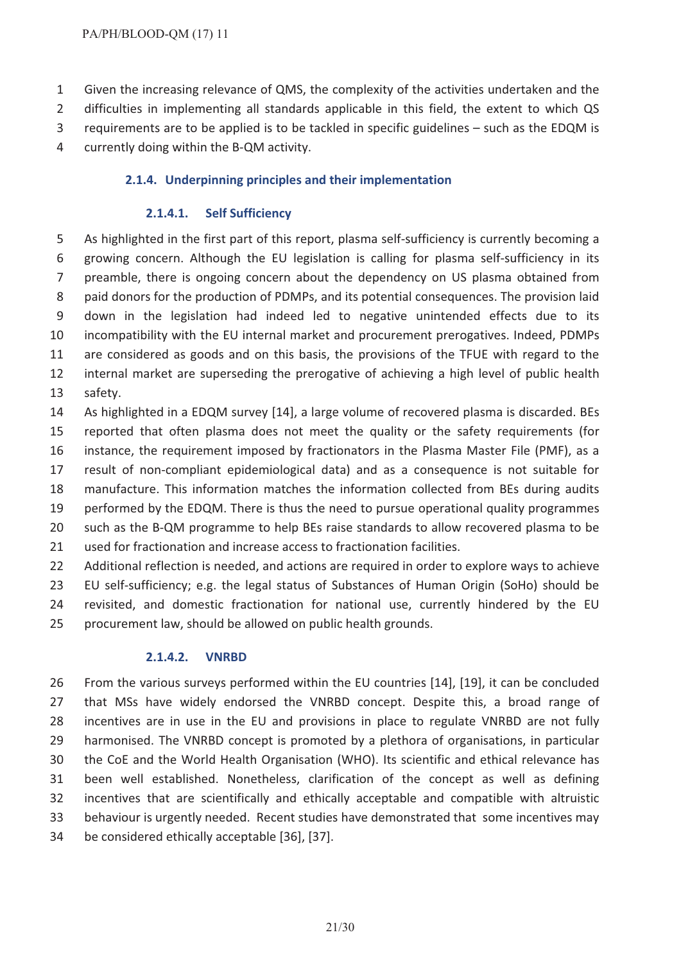- Given the increasing relevance of QMS, the complexity of the activities undertaken and the
- 2 difficulties in implementing all standards applicable in this field, the extent to which QS
- requirements are to be applied is to be tackled in specific guidelines such as the EDQM is
- currently doing within the B-QM activity.

# **2.1.4. Underpinning principles and their implementation**

### **2.1.4.1. Self Sufficiency**

 As highlighted in the first part of this report, plasma self-sufficiency is currently becoming a growing concern. Although the EU legislation is calling for plasma self-sufficiency in its preamble, there is ongoing concern about the dependency on US plasma obtained from paid donors for the production of PDMPs, and its potential consequences. The provision laid down in the legislation had indeed led to negative unintended effects due to its incompatibility with the EU internal market and procurement prerogatives. Indeed, PDMPs are considered as goods and on this basis, the provisions of the TFUE with regard to the internal market are superseding the prerogative of achieving a high level of public health safety.

 As highlighted in a EDQM survey [14], a large volume of recovered plasma is discarded. BEs reported that often plasma does not meet the quality or the safety requirements (for instance, the requirement imposed by fractionators in the Plasma Master File (PMF), as a result of non-compliant epidemiological data) and as a consequence is not suitable for manufacture. This information matches the information collected from BEs during audits performed by the EDQM. There is thus the need to pursue operational quality programmes such as the B-QM programme to help BEs raise standards to allow recovered plasma to be used for fractionation and increase access to fractionation facilities.

22 Additional reflection is needed, and actions are required in order to explore ways to achieve EU self-sufficiency; e.g. the legal status of Substances of Human Origin (SoHo) should be revisited, and domestic fractionation for national use, currently hindered by the EU procurement law, should be allowed on public health grounds.

### **2.1.4.2. VNRBD**

 From the various surveys performed within the EU countries [14], [19], it can be concluded that MSs have widely endorsed the VNRBD concept. Despite this, a broad range of incentives are in use in the EU and provisions in place to regulate VNRBD are not fully harmonised. The VNRBD concept is promoted by a plethora of organisations, in particular the CoE and the World Health Organisation (WHO). Its scientific and ethical relevance has been well established. Nonetheless, clarification of the concept as well as defining incentives that are scientifically and ethically acceptable and compatible with altruistic behaviour is urgently needed. Recent studies have demonstrated that some incentives may be considered ethically acceptable [36], [37].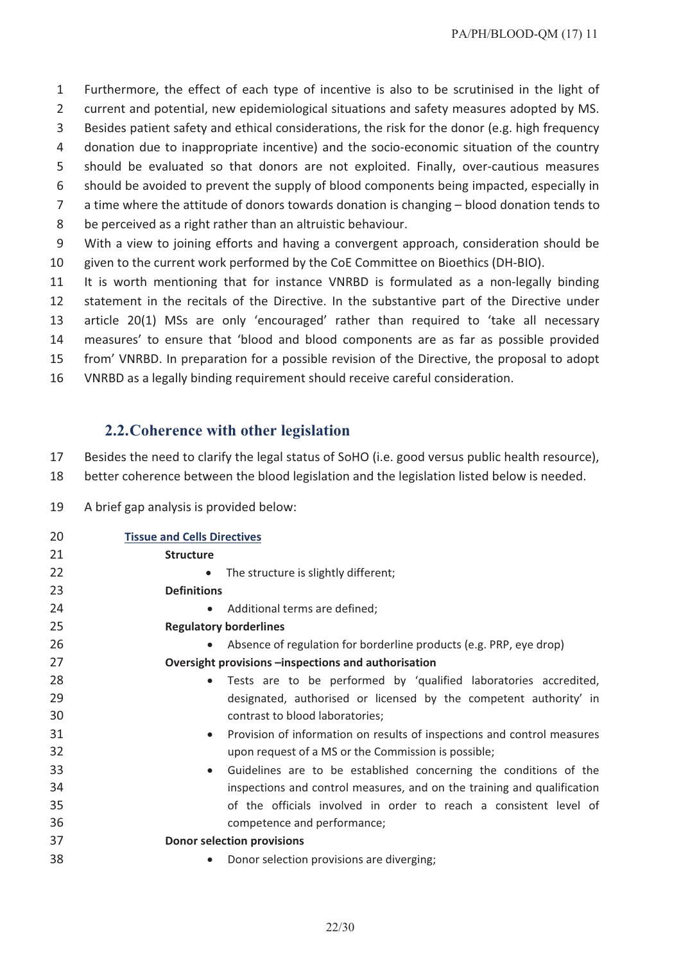Furthermore, the effect of each type of incentive is also to be scrutinised in the light of

- current and potential, new epidemiological situations and safety measures adopted by MS.
- Besides patient safety and ethical considerations, the risk for the donor (e.g. high frequency
- donation due to inappropriate incentive) and the socio-economic situation of the country
- should be evaluated so that donors are not exploited. Finally, over-cautious measures
- should be avoided to prevent the supply of blood components being impacted, especially in
- a time where the attitude of donors towards donation is changing blood donation tends to
- be perceived as a right rather than an altruistic behaviour.
- With a view to joining efforts and having a convergent approach, consideration should be given to the current work performed by the CoE Committee on Bioethics (DH-BIO).
- It is worth mentioning that for instance VNRBD is formulated as a non-legally binding
- statement in the recitals of the Directive. In the substantive part of the Directive under
- article 20(1) MSs are only 'encouraged' rather than required to 'take all necessary
- measures' to ensure that 'blood and blood components are as far as possible provided
- from' VNRBD. In preparation for a possible revision of the Directive, the proposal to adopt
- VNRBD as a legally binding requirement should receive careful consideration.

# **2.2.Coherence with other legislation**

Besides the need to clarify the legal status of SoHO (i.e. good versus public health resource),

- better coherence between the blood legislation and the legislation listed below is needed.
- A brief gap analysis is provided below:

| 20 | <b>Tissue and Cells Directives</b>                                                   |
|----|--------------------------------------------------------------------------------------|
| 21 | <b>Structure</b>                                                                     |
| 22 | The structure is slightly different;<br>$\bullet$                                    |
| 23 | <b>Definitions</b>                                                                   |
| 24 | Additional terms are defined;<br>$\bullet$                                           |
| 25 | <b>Regulatory borderlines</b>                                                        |
| 26 | Absence of regulation for borderline products (e.g. PRP, eye drop)                   |
| 27 | Oversight provisions -inspections and authorisation                                  |
| 28 | Tests are to be performed by 'qualified laboratories accredited,<br>$\bullet$        |
| 29 | designated, authorised or licensed by the competent authority' in                    |
| 30 | contrast to blood laboratories;                                                      |
| 31 | Provision of information on results of inspections and control measures<br>$\bullet$ |
| 32 | upon request of a MS or the Commission is possible;                                  |
| 33 | Guidelines are to be established concerning the conditions of the<br>$\bullet$       |
| 34 | inspections and control measures, and on the training and qualification              |
| 35 | of the officials involved in order to reach a consistent level of                    |
| 36 | competence and performance;                                                          |
| 37 | <b>Donor selection provisions</b>                                                    |
| 38 | Donor selection provisions are diverging;<br>$\bullet$                               |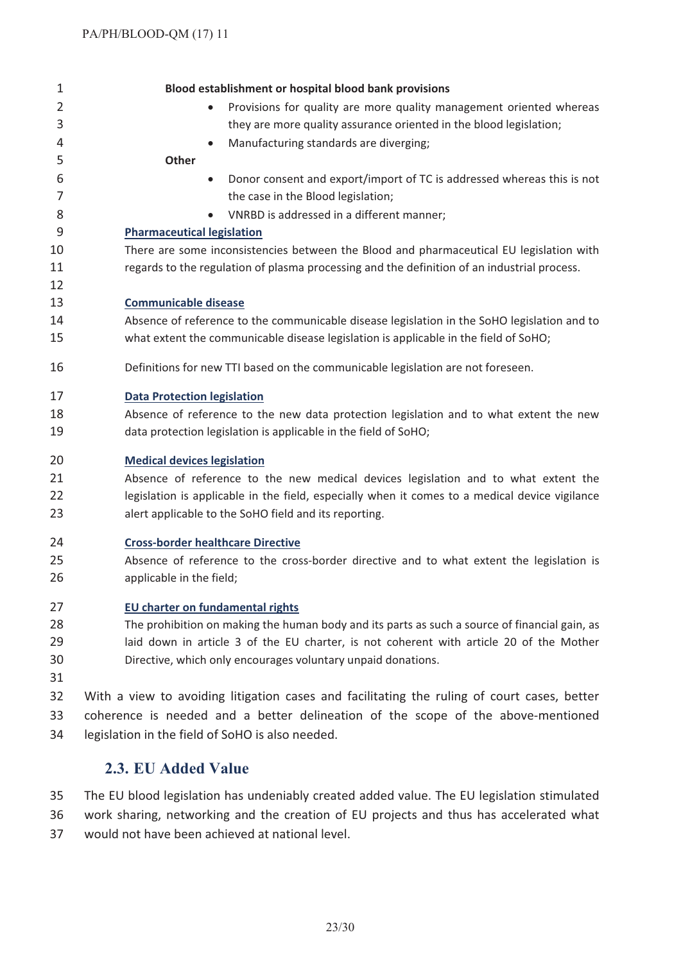| $\mathbf 1$    | Blood establishment or hospital blood bank provisions                                          |
|----------------|------------------------------------------------------------------------------------------------|
| $\overline{2}$ | Provisions for quality are more quality management oriented whereas                            |
| 3              | they are more quality assurance oriented in the blood legislation;                             |
| 4              | Manufacturing standards are diverging;                                                         |
| 5              | <b>Other</b>                                                                                   |
| 6              | Donor consent and export/import of TC is addressed whereas this is not<br>$\bullet$            |
| 7              | the case in the Blood legislation;                                                             |
| 8              | VNRBD is addressed in a different manner;                                                      |
| 9              | <b>Pharmaceutical legislation</b>                                                              |
| 10             | There are some inconsistencies between the Blood and pharmaceutical EU legislation with        |
| 11             | regards to the regulation of plasma processing and the definition of an industrial process.    |
| 12             |                                                                                                |
| 13             | <b>Communicable disease</b>                                                                    |
| 14             | Absence of reference to the communicable disease legislation in the SoHO legislation and to    |
| 15             | what extent the communicable disease legislation is applicable in the field of SoHO;           |
| 16             | Definitions for new TTI based on the communicable legislation are not foreseen.                |
| 17             | <b>Data Protection legislation</b>                                                             |
| 18             | Absence of reference to the new data protection legislation and to what extent the new         |
| 19             | data protection legislation is applicable in the field of SoHO;                                |
| 20             | <b>Medical devices legislation</b>                                                             |
| 21             | Absence of reference to the new medical devices legislation and to what extent the             |
| 22             | legislation is applicable in the field, especially when it comes to a medical device vigilance |
| 23             | alert applicable to the SoHO field and its reporting.                                          |
| 24             | <b>Cross-border healthcare Directive</b>                                                       |
| 25             | Absence of reference to the cross-border directive and to what extent the legislation is       |
| 26             | applicable in the field;                                                                       |
| 27             | <b>EU charter on fundamental rights</b>                                                        |
| 28             | The prohibition on making the human body and its parts as such a source of financial gain, as  |
| 29             | laid down in article 3 of the EU charter, is not coherent with article 20 of the Mother        |
| 30             | Directive, which only encourages voluntary unpaid donations.                                   |
| 31             |                                                                                                |
| 32             | With a view to avoiding litigation cases and facilitating the ruling of court cases, better    |
| 33             | coherence is needed and a better delineation of the scope of the above-mentioned               |

legislation in the field of SoHO is also needed.

# **2.3. EU Added Value**

 The EU blood legislation has undeniably created added value. The EU legislation stimulated work sharing, networking and the creation of EU projects and thus has accelerated what

would not have been achieved at national level.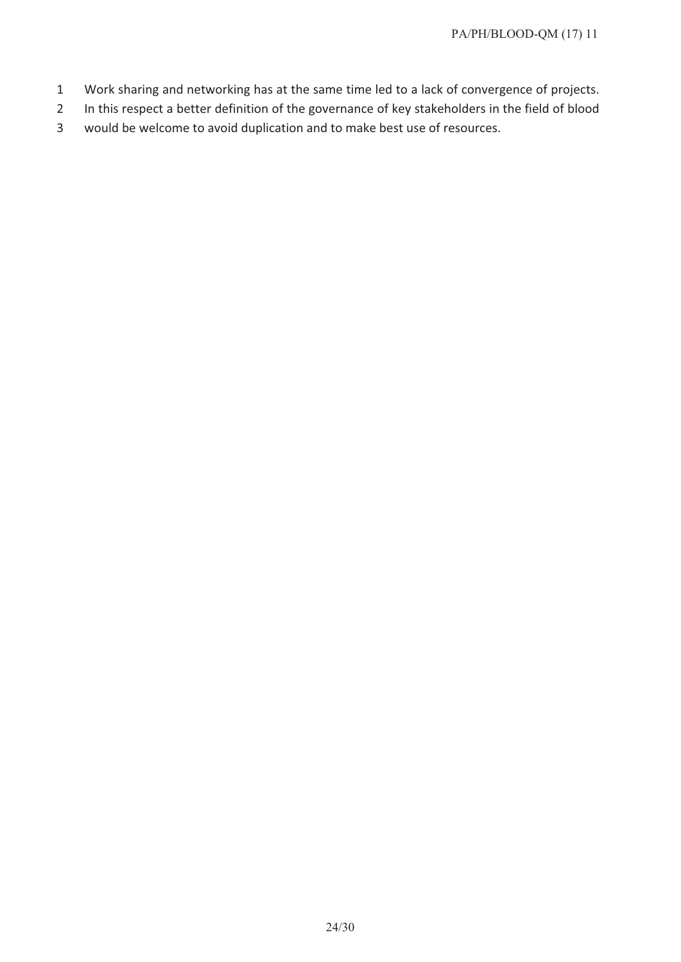- 1 Work sharing and networking has at the same time led to a lack of convergence of projects.
- 2 In this respect a better definition of the governance of key stakeholders in the field of blood
- 3 would be welcome to avoid duplication and to make best use of resources.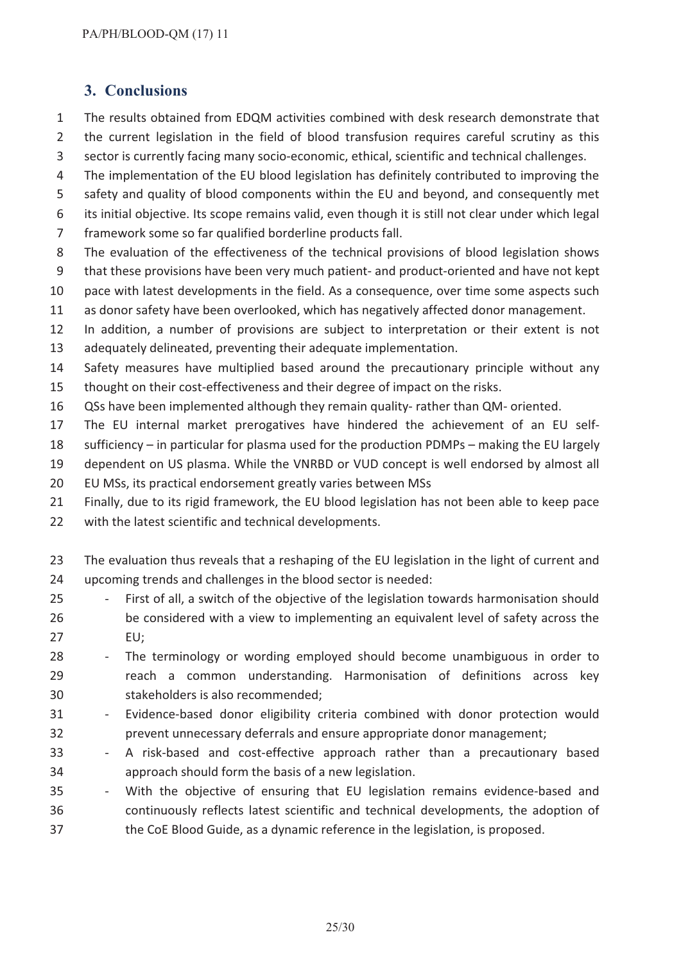# **3. Conclusions**

- The results obtained from EDQM activities combined with desk research demonstrate that the current legislation in the field of blood transfusion requires careful scrutiny as this sector is currently facing many socio-economic, ethical, scientific and technical challenges.
- 
- The implementation of the EU blood legislation has definitely contributed to improving the
- safety and quality of blood components within the EU and beyond, and consequently met its initial objective. Its scope remains valid, even though it is still not clear under which legal
- framework some so far qualified borderline products fall.
- The evaluation of the effectiveness of the technical provisions of blood legislation shows
- that these provisions have been very much patient- and product-oriented and have not kept
- pace with latest developments in the field. As a consequence, over time some aspects such
- as donor safety have been overlooked, which has negatively affected donor management.
- In addition, a number of provisions are subject to interpretation or their extent is not
- adequately delineated, preventing their adequate implementation.
- Safety measures have multiplied based around the precautionary principle without any thought on their cost-effectiveness and their degree of impact on the risks.
- QSs have been implemented although they remain quality- rather than QM- oriented.
- The EU internal market prerogatives have hindered the achievement of an EU self-
- sufficiency in particular for plasma used for the production PDMPs making the EU largely
- dependent on US plasma. While the VNRBD or VUD concept is well endorsed by almost all
- EU MSs, its practical endorsement greatly varies between MSs
- Finally, due to its rigid framework, the EU blood legislation has not been able to keep pace
- with the latest scientific and technical developments.
- 23 The evaluation thus reveals that a reshaping of the EU legislation in the light of current and upcoming trends and challenges in the blood sector is needed:
- First of all, a switch of the objective of the legislation towards harmonisation should be considered with a view to implementing an equivalent level of safety across the EU;
- The terminology or wording employed should become unambiguous in order to reach a common understanding. Harmonisation of definitions across key stakeholders is also recommended;
- Evidence-based donor eligibility criteria combined with donor protection would prevent unnecessary deferrals and ensure appropriate donor management;
- A risk-based and cost-effective approach rather than a precautionary based approach should form the basis of a new legislation.
- With the objective of ensuring that EU legislation remains evidence-based and continuously reflects latest scientific and technical developments, the adoption of the CoE Blood Guide, as a dynamic reference in the legislation, is proposed.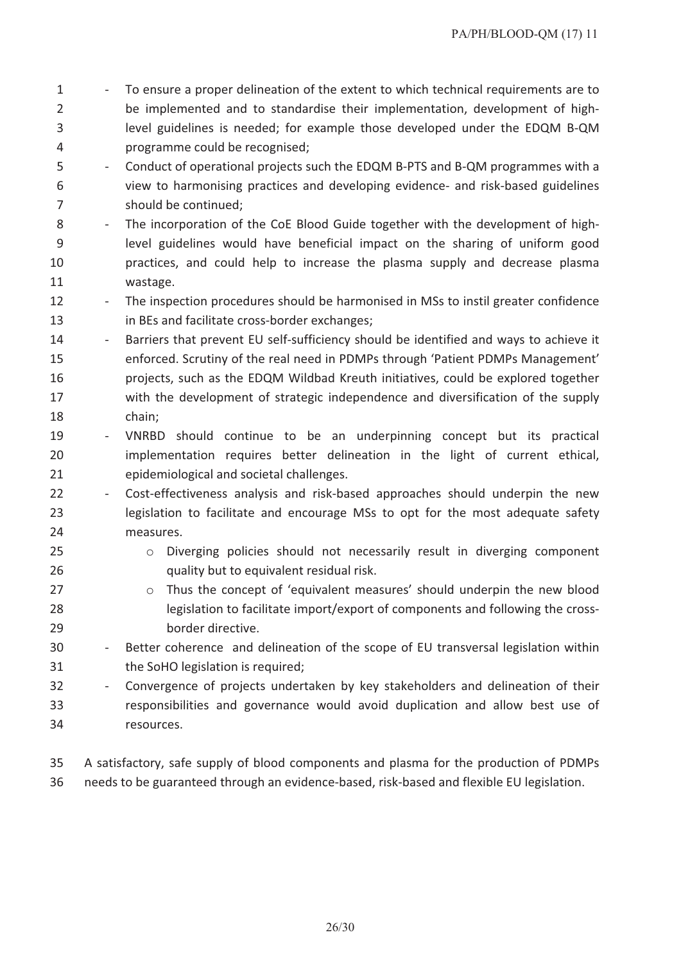- 1 To ensure a proper delineation of the extent to which technical requirements are to be implemented and to standardise their implementation, development of high- level guidelines is needed; for example those developed under the EDQM B-QM programme could be recognised;
- Conduct of operational projects such the EDQM B-PTS and B-QM programmes with a view to harmonising practices and developing evidence- and risk-based guidelines should be continued;
- The incorporation of the CoE Blood Guide together with the development of high- level guidelines would have beneficial impact on the sharing of uniform good practices, and could help to increase the plasma supply and decrease plasma wastage.
- 12 The inspection procedures should be harmonised in MSs to instil greater confidence in BEs and facilitate cross-border exchanges;
- 14 Barriers that prevent EU self-sufficiency should be identified and ways to achieve it enforced. Scrutiny of the real need in PDMPs through 'Patient PDMPs Management' projects, such as the EDQM Wildbad Kreuth initiatives, could be explored together with the development of strategic independence and diversification of the supply chain;
- VNRBD should continue to be an underpinning concept but its practical implementation requires better delineation in the light of current ethical, epidemiological and societal challenges.
- Cost-effectiveness analysis and risk-based approaches should underpin the new legislation to facilitate and encourage MSs to opt for the most adequate safety measures.
- o Diverging policies should not necessarily result in diverging component quality but to equivalent residual risk.
- **b 27** o Thus the concept of 'equivalent measures' should underpin the new blood legislation to facilitate import/export of components and following the cross-border directive.
- Better coherence and delineation of the scope of EU transversal legislation within the SoHO legislation is required;
- Convergence of projects undertaken by key stakeholders and delineation of their responsibilities and governance would avoid duplication and allow best use of resources.
- A satisfactory, safe supply of blood components and plasma for the production of PDMPs needs to be guaranteed through an evidence-based, risk-based and flexible EU legislation.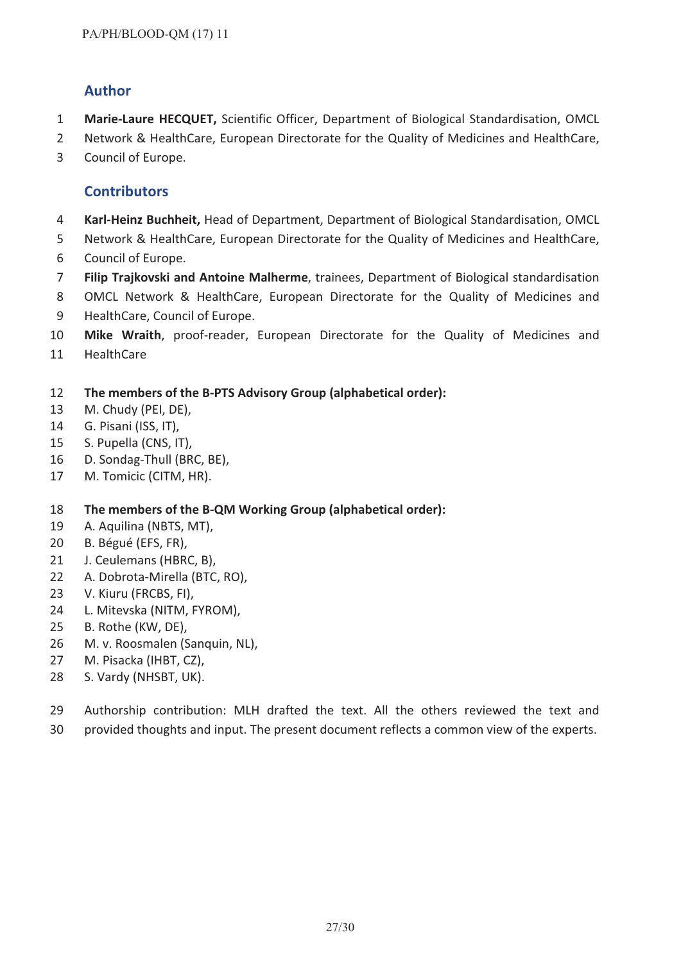# **Author**

- **Marie-Laure HECQUET,** Scientific Officer, Department of Biological Standardisation, OMCL
- Network & HealthCare, European Directorate for the Quality of Medicines and HealthCare,
- Council of Europe.

# **Contributors**

- **Karl-Heinz Buchheit,** Head of Department, Department of Biological Standardisation, OMCL
- Network & HealthCare, European Directorate for the Quality of Medicines and HealthCare,
- Council of Europe.
- **Filip Trajkovski and Antoine Malherme**, trainees, Department of Biological standardisation
- OMCL Network & HealthCare, European Directorate for the Quality of Medicines and HealthCare, Council of Europe.
- **Mike Wraith**, proof-reader, European Directorate for the Quality of Medicines and
- HealthCare
- **The members of the B-PTS Advisory Group (alphabetical order):**
- M. Chudy (PEI, DE),
- G. Pisani (ISS, IT),
- S. Pupella (CNS, IT),
- D. Sondag-Thull (BRC, BE),
- M. Tomicic (CITM, HR).

# **The members of the B-QM Working Group (alphabetical order):**

- A. Aquilina (NBTS, MT),
- B. Bégué (EFS, FR),
- J. Ceulemans (HBRC, B),
- A. Dobrota-Mirella (BTC, RO),
- V. Kiuru (FRCBS, FI),
- L. Mitevska (NITM, FYROM),
- B. Rothe (KW, DE),
- M. v. Roosmalen (Sanquin, NL),
- M. Pisacka (IHBT, CZ),
- S. Vardy (NHSBT, UK).
- Authorship contribution: MLH drafted the text. All the others reviewed the text and
- provided thoughts and input. The present document reflects a common view of the experts.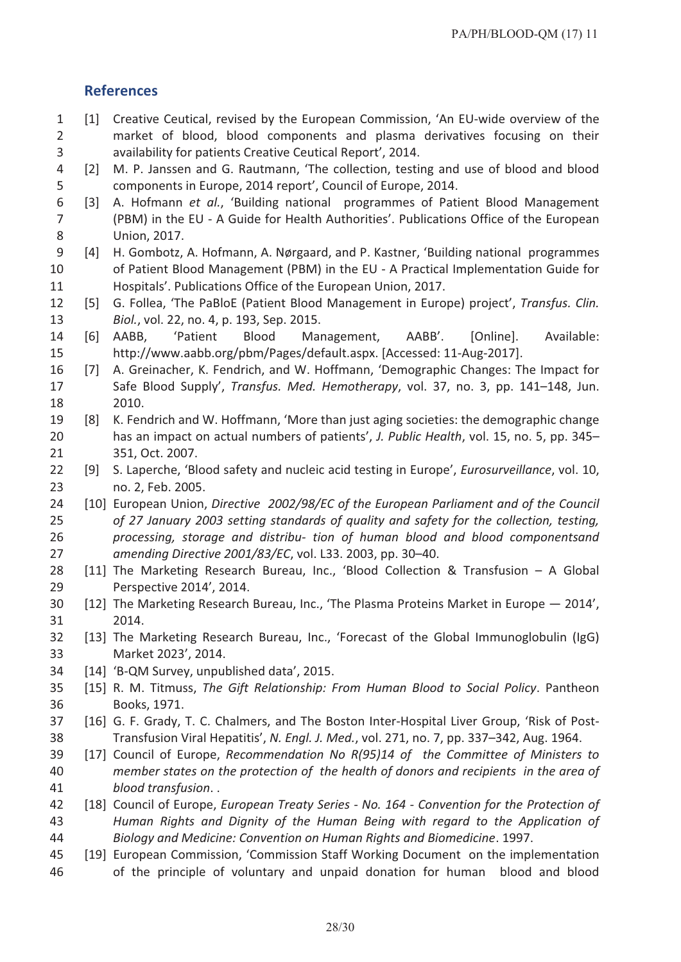# **References**

- [1] Creative Ceutical, revised by the European Commission, 'An EU-wide overview of the market of blood, blood components and plasma derivatives focusing on their availability for patients Creative Ceutical Report', 2014.
- [2] M. P. Janssen and G. Rautmann, 'The collection, testing and use of blood and blood components in Europe, 2014 report', Council of Europe, 2014.
- [3] A. Hofmann *et al.*, 'Building national programmes of Patient Blood Management (PBM) in the EU - A Guide for Health Authorities'. Publications Office of the European Union, 2017.
- [4] H. Gombotz, A. Hofmann, A. Nørgaard, and P. Kastner, 'Building national programmes of Patient Blood Management (PBM) in the EU - A Practical Implementation Guide for Hospitals'. Publications Office of the European Union, 2017.
- [5] G. Follea, 'The PaBloE (Patient Blood Management in Europe) project', *Transfus. Clin. Biol.*, vol. 22, no. 4, p. 193, Sep. 2015.
- [6] AABB, 'Patient Blood Management, AABB'. [Online]. Available: http://www.aabb.org/pbm/Pages/default.aspx. [Accessed: 11-Aug-2017].
- [7] A. Greinacher, K. Fendrich, and W. Hoffmann, 'Demographic Changes: The Impact for Safe Blood Supply', *Transfus. Med. Hemotherapy*, vol. 37, no. 3, pp. 141–148, Jun. 2010.
- [8] K. Fendrich and W. Hoffmann, 'More than just aging societies: the demographic change has an impact on actual numbers of patients', *J. Public Health*, vol. 15, no. 5, pp. 345– 351, Oct. 2007.
- [9] S. Laperche, 'Blood safety and nucleic acid testing in Europe', *Eurosurveillance*, vol. 10, no. 2, Feb. 2005.
- [10] European Union, *Directive 2002/98/EC of the European Parliament and of the Council of 27 January 2003 setting standards of quality and safety for the collection, testing, processing, storage and distribu- tion of human blood and blood componentsand amending Directive 2001/83/EC*, vol. L33. 2003, pp. 30–40.
- [11] The Marketing Research Bureau, Inc., 'Blood Collection & Transfusion A Global Perspective 2014', 2014.
- [12] The Marketing Research Bureau, Inc., 'The Plasma Proteins Market in Europe 2014', 2014.
- [13] The Marketing Research Bureau, Inc., 'Forecast of the Global Immunoglobulin (IgG) Market 2023', 2014.
- [14] 'B-QM Survey, unpublished data', 2015.
- [15] R. M. Titmuss, *The Gift Relationship: From Human Blood to Social Policy*. Pantheon Books, 1971.
- [16] G. F. Grady, T. C. Chalmers, and The Boston Inter-Hospital Liver Group, 'Risk of Post- Transfusion Viral Hepatitis', *N. Engl. J. Med.*, vol. 271, no. 7, pp. 337–342, Aug. 1964.
- [17] Council of Europe, *Recommendation No R(95)14 of the Committee of Ministers to member states on the protection of the health of donors and recipients in the area of blood transfusion*. .
- [18] Council of Europe, *European Treaty Series - No. 164 - Convention for the Protection of Human Rights and Dignity of the Human Being with regard to the Application of Biology and Medicine: Convention on Human Rights and Biomedicine*. 1997.
- [19] European Commission, 'Commission Staff Working Document on the implementation of the principle of voluntary and unpaid donation for human blood and blood
	- 28/30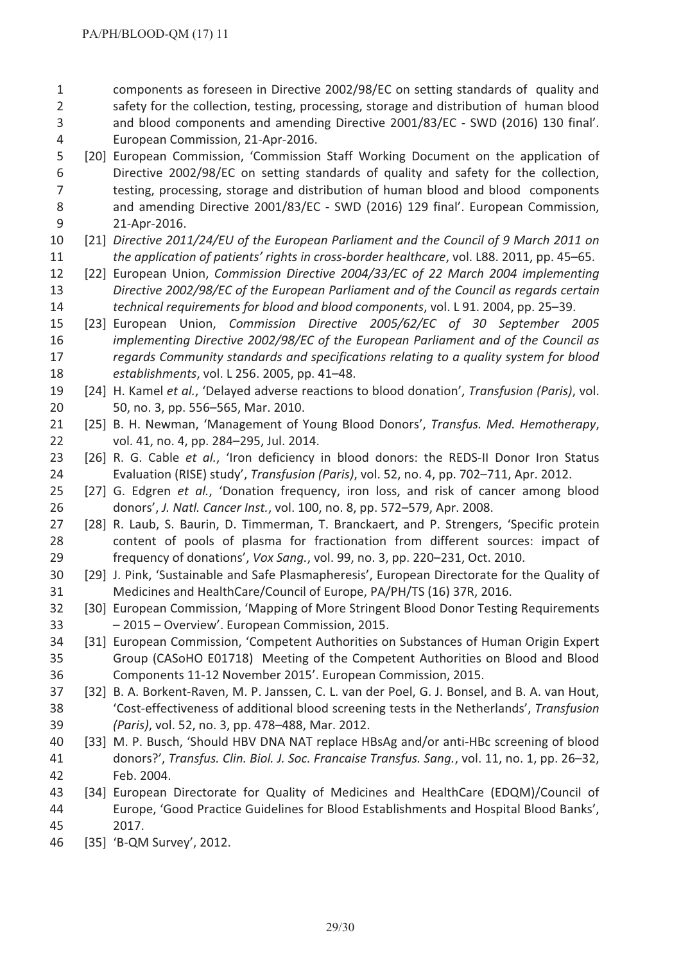components as foreseen in Directive 2002/98/EC on setting standards of quality and safety for the collection, testing, processing, storage and distribution of human blood and blood components and amending Directive 2001/83/EC - SWD (2016) 130 final'. European Commission, 21-Apr-2016.

 [20] European Commission, 'Commission Staff Working Document on the application of Directive 2002/98/EC on setting standards of quality and safety for the collection, testing, processing, storage and distribution of human blood and blood components and amending Directive 2001/83/EC - SWD (2016) 129 final'. European Commission, 21-Apr-2016.

- [21] *Directive 2011/24/EU of the European Parliament and the Council of 9 March 2011 on the application of patients' rights in cross-border healthcare*, vol. L88. 2011, pp. 45–65.
- [22] European Union, *Commission Directive 2004/33/EC of 22 March 2004 implementing Directive 2002/98/EC of the European Parliament and of the Council as regards certain technical requirements for blood and blood components*, vol. L 91. 2004, pp. 25–39.
- [23] European Union, *Commission Directive 2005/62/EC of 30 September 2005 implementing Directive 2002/98/EC of the European Parliament and of the Council as regards Community standards and specifications relating to a quality system for blood establishments*, vol. L 256. 2005, pp. 41–48.
- [24] H. Kamel *et al.*, 'Delayed adverse reactions to blood donation', *Transfusion (Paris)*, vol. 50, no. 3, pp. 556–565, Mar. 2010.
- [25] B. H. Newman, 'Management of Young Blood Donors', *Transfus. Med. Hemotherapy*, vol. 41, no. 4, pp. 284–295, Jul. 2014.
- [26] R. G. Cable *et al.*, 'Iron deficiency in blood donors: the REDS-II Donor Iron Status Evaluation (RISE) study', *Transfusion (Paris)*, vol. 52, no. 4, pp. 702–711, Apr. 2012.
- [27] G. Edgren *et al.*, 'Donation frequency, iron loss, and risk of cancer among blood donors', *J. Natl. Cancer Inst.*, vol. 100, no. 8, pp. 572–579, Apr. 2008.
- [28] R. Laub, S. Baurin, D. Timmerman, T. Branckaert, and P. Strengers, 'Specific protein content of pools of plasma for fractionation from different sources: impact of frequency of donations', *Vox Sang.*, vol. 99, no. 3, pp. 220–231, Oct. 2010.
- [29] J. Pink, 'Sustainable and Safe Plasmapheresis', European Directorate for the Quality of Medicines and HealthCare/Council of Europe, PA/PH/TS (16) 37R, 2016.
- [30] European Commission, 'Mapping of More Stringent Blood Donor Testing Requirements – 2015 – Overview'. European Commission, 2015.
- [31] European Commission, 'Competent Authorities on Substances of Human Origin Expert Group (CASoHO E01718) Meeting of the Competent Authorities on Blood and Blood Components 11-12 November 2015'. European Commission, 2015.
- [32] B. A. Borkent-Raven, M. P. Janssen, C. L. van der Poel, G. J. Bonsel, and B. A. van Hout, 'Cost-effectiveness of additional blood screening tests in the Netherlands', *Transfusion (Paris)*, vol. 52, no. 3, pp. 478–488, Mar. 2012.
- [33] M. P. Busch, 'Should HBV DNA NAT replace HBsAg and/or anti-HBc screening of blood donors?', *Transfus. Clin. Biol. J. Soc. Francaise Transfus. Sang.*, vol. 11, no. 1, pp. 26–32, Feb. 2004.
- [34] European Directorate for Quality of Medicines and HealthCare (EDQM)/Council of Europe, 'Good Practice Guidelines for Blood Establishments and Hospital Blood Banks', 2017.
- [35] 'B-QM Survey', 2012.